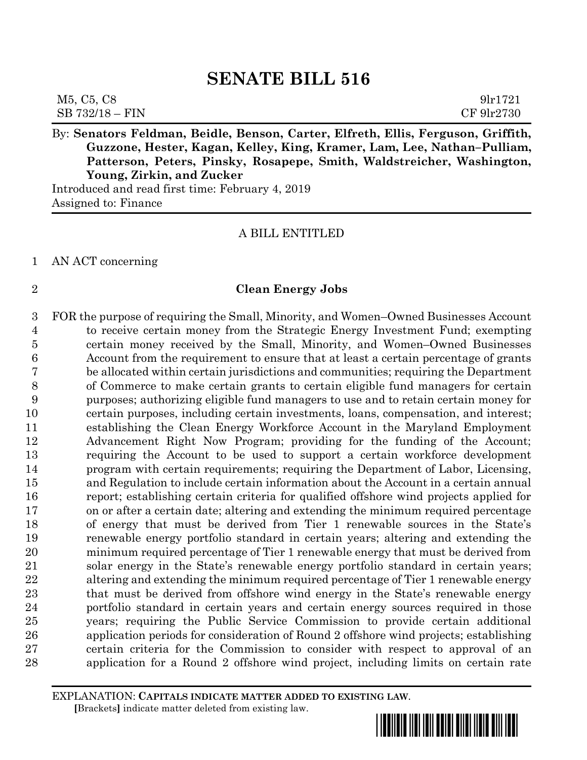| M5, C5, C8      | 91r1721    |
|-----------------|------------|
| SB 732/18 - FIN | CF 9lr2730 |

By: **Senators Feldman, Beidle, Benson, Carter, Elfreth, Ellis, Ferguson, Griffith, Guzzone, Hester, Kagan, Kelley, King, Kramer, Lam, Lee, Nathan–Pulliam, Patterson, Peters, Pinsky, Rosapepe, Smith, Waldstreicher, Washington, Young, Zirkin, and Zucker**

Introduced and read first time: February 4, 2019 Assigned to: Finance

#### A BILL ENTITLED

#### AN ACT concerning

#### **Clean Energy Jobs**

 FOR the purpose of requiring the Small, Minority, and Women–Owned Businesses Account to receive certain money from the Strategic Energy Investment Fund; exempting certain money received by the Small, Minority, and Women–Owned Businesses Account from the requirement to ensure that at least a certain percentage of grants be allocated within certain jurisdictions and communities; requiring the Department of Commerce to make certain grants to certain eligible fund managers for certain purposes; authorizing eligible fund managers to use and to retain certain money for certain purposes, including certain investments, loans, compensation, and interest; establishing the Clean Energy Workforce Account in the Maryland Employment Advancement Right Now Program; providing for the funding of the Account; requiring the Account to be used to support a certain workforce development program with certain requirements; requiring the Department of Labor, Licensing, and Regulation to include certain information about the Account in a certain annual report; establishing certain criteria for qualified offshore wind projects applied for on or after a certain date; altering and extending the minimum required percentage of energy that must be derived from Tier 1 renewable sources in the State's renewable energy portfolio standard in certain years; altering and extending the minimum required percentage of Tier 1 renewable energy that must be derived from solar energy in the State's renewable energy portfolio standard in certain years; altering and extending the minimum required percentage of Tier 1 renewable energy that must be derived from offshore wind energy in the State's renewable energy portfolio standard in certain years and certain energy sources required in those years; requiring the Public Service Commission to provide certain additional application periods for consideration of Round 2 offshore wind projects; establishing certain criteria for the Commission to consider with respect to approval of an application for a Round 2 offshore wind project, including limits on certain rate

EXPLANATION: **CAPITALS INDICATE MATTER ADDED TO EXISTING LAW**.  **[**Brackets**]** indicate matter deleted from existing law.

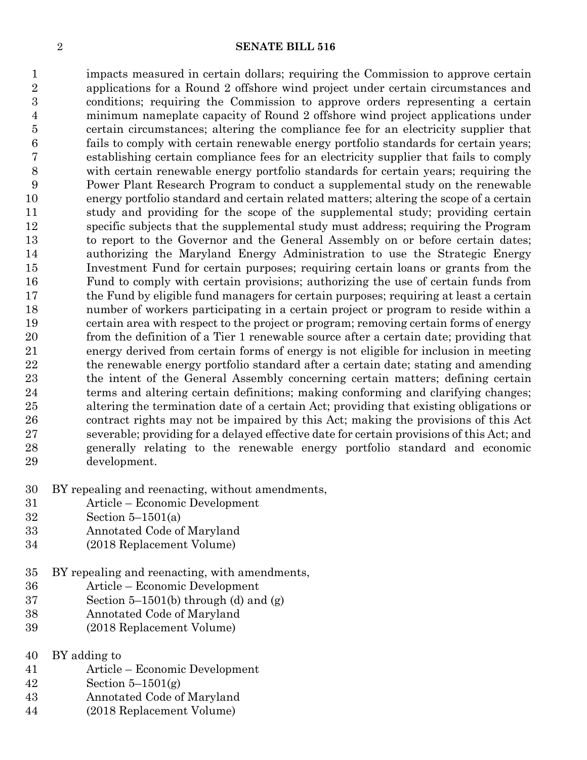impacts measured in certain dollars; requiring the Commission to approve certain applications for a Round 2 offshore wind project under certain circumstances and conditions; requiring the Commission to approve orders representing a certain minimum nameplate capacity of Round 2 offshore wind project applications under certain circumstances; altering the compliance fee for an electricity supplier that fails to comply with certain renewable energy portfolio standards for certain years; establishing certain compliance fees for an electricity supplier that fails to comply with certain renewable energy portfolio standards for certain years; requiring the Power Plant Research Program to conduct a supplemental study on the renewable energy portfolio standard and certain related matters; altering the scope of a certain study and providing for the scope of the supplemental study; providing certain specific subjects that the supplemental study must address; requiring the Program to report to the Governor and the General Assembly on or before certain dates; authorizing the Maryland Energy Administration to use the Strategic Energy Investment Fund for certain purposes; requiring certain loans or grants from the Fund to comply with certain provisions; authorizing the use of certain funds from the Fund by eligible fund managers for certain purposes; requiring at least a certain number of workers participating in a certain project or program to reside within a certain area with respect to the project or program; removing certain forms of energy from the definition of a Tier 1 renewable source after a certain date; providing that energy derived from certain forms of energy is not eligible for inclusion in meeting the renewable energy portfolio standard after a certain date; stating and amending the intent of the General Assembly concerning certain matters; defining certain terms and altering certain definitions; making conforming and clarifying changes; altering the termination date of a certain Act; providing that existing obligations or contract rights may not be impaired by this Act; making the provisions of this Act severable; providing for a delayed effective date for certain provisions of this Act; and generally relating to the renewable energy portfolio standard and economic development.

- BY repealing and reenacting, without amendments,
- Article Economic Development
- Section 5–1501(a)
- Annotated Code of Maryland
- (2018 Replacement Volume)
- BY repealing and reenacting, with amendments,
- Article Economic Development
- Section 5–1501(b) through (d) and (g)
- Annotated Code of Maryland
- (2018 Replacement Volume)
- BY adding to
- Article Economic Development
- Section 5–1501(g)
- Annotated Code of Maryland
- (2018 Replacement Volume)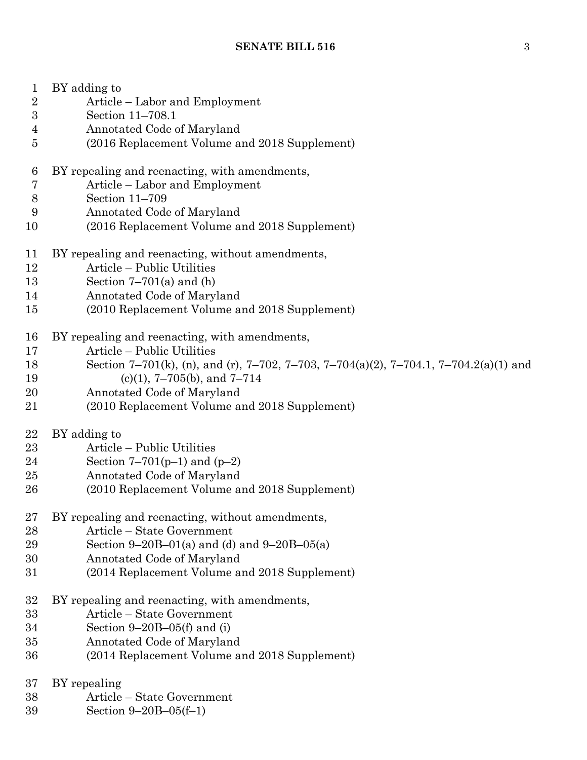| $\mathbf{1}$    | BY adding to                                                                          |
|-----------------|---------------------------------------------------------------------------------------|
| $\overline{2}$  | Article – Labor and Employment                                                        |
| $\overline{3}$  | Section 11-708.1                                                                      |
| $\overline{4}$  | Annotated Code of Maryland                                                            |
| $\overline{5}$  | (2016 Replacement Volume and 2018 Supplement)                                         |
| $6\phantom{.}6$ | BY repealing and reenacting, with amendments,                                         |
| 7               | Article – Labor and Employment                                                        |
| $8\,$           | Section 11-709                                                                        |
| 9               | Annotated Code of Maryland                                                            |
| 10              | (2016 Replacement Volume and 2018 Supplement)                                         |
| 11              | BY repealing and reenacting, without amendments,                                      |
| 12              | Article - Public Utilities                                                            |
| 13              | Section $7-701(a)$ and (h)                                                            |
| 14              | Annotated Code of Maryland                                                            |
| 15              | (2010 Replacement Volume and 2018 Supplement)                                         |
| 16              | BY repealing and reenacting, with amendments,                                         |
| 17              | Article – Public Utilities                                                            |
| 18              | Section 7-701(k), (n), and (r), 7-702, 7-703, 7-704(a)(2), 7-704.1, 7-704.2(a)(1) and |
| 19              | $(c)(1), 7-705(b),$ and $7-714$                                                       |
| 20              | Annotated Code of Maryland                                                            |
| 21              | (2010 Replacement Volume and 2018 Supplement)                                         |
| 22              | BY adding to                                                                          |
| 23              | Article – Public Utilities                                                            |
| 24              | Section 7–701( $p-1$ ) and ( $p-2$ )                                                  |
| 25              | Annotated Code of Maryland                                                            |
| 26              | (2010 Replacement Volume and 2018 Supplement)                                         |
| 27              | BY repealing and reenacting, without amendments,                                      |
| 28              | Article – State Government                                                            |
| 29              | Section 9–20B–01(a) and (d) and 9–20B–05(a)                                           |
| 30              | Annotated Code of Maryland                                                            |
| 31              | (2014 Replacement Volume and 2018 Supplement)                                         |
| 32              | BY repealing and reenacting, with amendments,                                         |
| 33              | Article – State Government                                                            |
| 34              | Section $9-20B-05(f)$ and (i)                                                         |
| 35              | Annotated Code of Maryland                                                            |
| 36              | (2014 Replacement Volume and 2018 Supplement)                                         |
| 37              | BY repealing                                                                          |
| 38              | Article - State Government                                                            |
| 39              | Section $9-20B-05(f-1)$                                                               |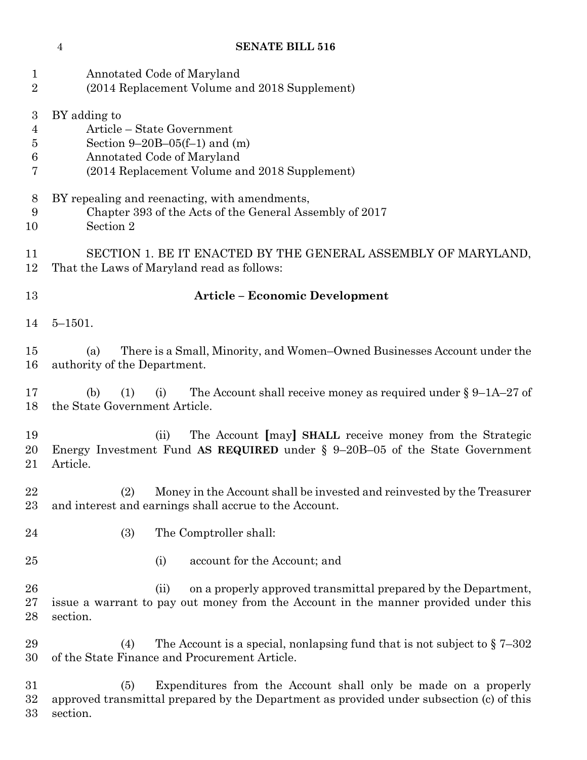| 1<br>$\overline{2}$                               | Annotated Code of Maryland<br>(2014 Replacement Volume and 2018 Supplement)                                                                                               |
|---------------------------------------------------|---------------------------------------------------------------------------------------------------------------------------------------------------------------------------|
| 3<br>$\overline{4}$<br>5<br>$\boldsymbol{6}$<br>7 | BY adding to<br>Article - State Government<br>Section $9-20B-05(f-1)$ and (m)<br>Annotated Code of Maryland<br>(2014 Replacement Volume and 2018 Supplement)              |
| 8<br>9<br>10                                      | BY repealing and reenacting, with amendments,<br>Chapter 393 of the Acts of the General Assembly of 2017<br>Section 2                                                     |
| 11<br>12                                          | SECTION 1. BE IT ENACTED BY THE GENERAL ASSEMBLY OF MARYLAND,<br>That the Laws of Maryland read as follows:                                                               |
| 13                                                | <b>Article - Economic Development</b>                                                                                                                                     |
| 14                                                | $5 - 1501.$                                                                                                                                                               |
| 15<br>16                                          | There is a Small, Minority, and Women-Owned Businesses Account under the<br>(a)<br>authority of the Department.                                                           |
| 17<br>18                                          | The Account shall receive money as required under $\S 9$ –1A–27 of<br>(b)<br>(1)<br>(i)<br>the State Government Article.                                                  |
| 19<br>20<br>21                                    | The Account [may] SHALL receive money from the Strategic<br>(ii)<br>Energy Investment Fund AS REQUIRED under $\S$ 9-20B-05 of the State Government<br>Article.            |
| 22<br>23                                          | (2)<br>Money in the Account shall be invested and reinvested by the Treasurer<br>and interest and earnings shall accrue to the Account.                                   |
| 24                                                | (3)<br>The Comptroller shall:                                                                                                                                             |
| 25                                                | account for the Account; and<br>(i)                                                                                                                                       |
| 26<br>27<br>28                                    | on a properly approved transmittal prepared by the Department,<br>(ii)<br>issue a warrant to pay out money from the Account in the manner provided under this<br>section. |
| 29<br>30                                          | The Account is a special, nonlapsing fund that is not subject to $\S 7-302$<br>(4)<br>of the State Finance and Procurement Article.                                       |
| 31<br>$32\,$                                      | Expenditures from the Account shall only be made on a properly<br>(5)<br>approved transmittal prepared by the Department as provided under subsection (c) of this         |

section.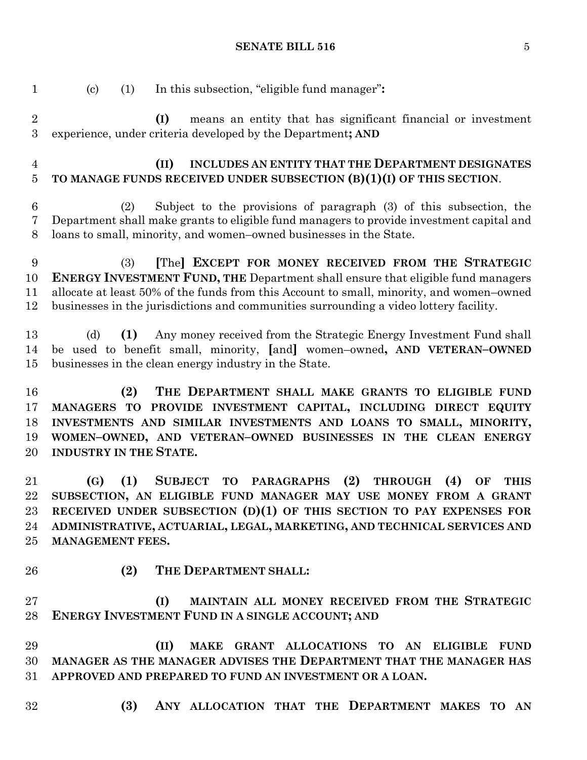(c) (1) In this subsection, "eligible fund manager"**:**

 **(I)** means an entity that has significant financial or investment experience, under criteria developed by the Department**; AND (II) INCLUDES AN ENTITY THAT THE DEPARTMENT DESIGNATES TO MANAGE FUNDS RECEIVED UNDER SUBSECTION (B)(1)(I) OF THIS SECTION**. (2) Subject to the provisions of paragraph (3) of this subsection, the Department shall make grants to eligible fund managers to provide investment capital and loans to small, minority, and women–owned businesses in the State. (3) **[**The**] EXCEPT FOR MONEY RECEIVED FROM THE STRATEGIC ENERGY INVESTMENT FUND, THE** Department shall ensure that eligible fund managers allocate at least 50% of the funds from this Account to small, minority, and women–owned businesses in the jurisdictions and communities surrounding a video lottery facility. (d) **(1)** Any money received from the Strategic Energy Investment Fund shall be used to benefit small, minority, **[**and**]** women–owned**, AND VETERAN–OWNED** businesses in the clean energy industry in the State. **(2) THE DEPARTMENT SHALL MAKE GRANTS TO ELIGIBLE FUND MANAGERS TO PROVIDE INVESTMENT CAPITAL, INCLUDING DIRECT EQUITY INVESTMENTS AND SIMILAR INVESTMENTS AND LOANS TO SMALL, MINORITY, WOMEN–OWNED, AND VETERAN–OWNED BUSINESSES IN THE CLEAN ENERGY INDUSTRY IN THE STATE. (G) (1) SUBJECT TO PARAGRAPHS (2) THROUGH (4) OF THIS SUBSECTION, AN ELIGIBLE FUND MANAGER MAY USE MONEY FROM A GRANT RECEIVED UNDER SUBSECTION (D)(1) OF THIS SECTION TO PAY EXPENSES FOR ADMINISTRATIVE, ACTUARIAL, LEGAL, MARKETING, AND TECHNICAL SERVICES AND MANAGEMENT FEES. (2) THE DEPARTMENT SHALL: (I) MAINTAIN ALL MONEY RECEIVED FROM THE STRATEGIC ENERGY INVESTMENT FUND IN A SINGLE ACCOUNT; AND (II) MAKE GRANT ALLOCATIONS TO AN ELIGIBLE FUND MANAGER AS THE MANAGER ADVISES THE DEPARTMENT THAT THE MANAGER HAS APPROVED AND PREPARED TO FUND AN INVESTMENT OR A LOAN. (3) ANY ALLOCATION THAT THE DEPARTMENT MAKES TO AN**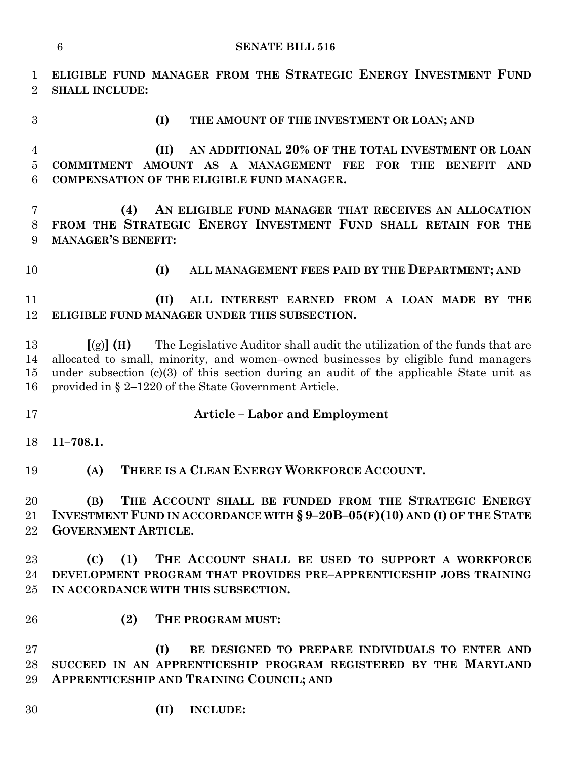**ELIGIBLE FUND MANAGER FROM THE STRATEGIC ENERGY INVESTMENT FUND SHALL INCLUDE:**

 **(II) AN ADDITIONAL 20% OF THE TOTAL INVESTMENT OR LOAN COMMITMENT AMOUNT AS A MANAGEMENT FEE FOR THE BENEFIT AND COMPENSATION OF THE ELIGIBLE FUND MANAGER.**

**(I) THE AMOUNT OF THE INVESTMENT OR LOAN; AND**

 **(4) AN ELIGIBLE FUND MANAGER THAT RECEIVES AN ALLOCATION FROM THE STRATEGIC ENERGY INVESTMENT FUND SHALL RETAIN FOR THE MANAGER'S BENEFIT:**

**(I) ALL MANAGEMENT FEES PAID BY THE DEPARTMENT; AND**

 **(II) ALL INTEREST EARNED FROM A LOAN MADE BY THE ELIGIBLE FUND MANAGER UNDER THIS SUBSECTION.**

 **[**(g)**] (H)** The Legislative Auditor shall audit the utilization of the funds that are allocated to small, minority, and women–owned businesses by eligible fund managers under subsection (c)(3) of this section during an audit of the applicable State unit as provided in § 2–1220 of the State Government Article.

#### **Article – Labor and Employment**

**11–708.1.**

**(A) THERE IS A CLEAN ENERGY WORKFORCE ACCOUNT.**

 **(B) THE ACCOUNT SHALL BE FUNDED FROM THE STRATEGIC ENERGY INVESTMENT FUND IN ACCORDANCE WITH § 9–20B–05(F)(10) AND (I) OF THE STATE GOVERNMENT ARTICLE.**

 **(C) (1) THE ACCOUNT SHALL BE USED TO SUPPORT A WORKFORCE DEVELOPMENT PROGRAM THAT PROVIDES PRE–APPRENTICESHIP JOBS TRAINING IN ACCORDANCE WITH THIS SUBSECTION.**

- 
- **(2) THE PROGRAM MUST:**

 **(I) BE DESIGNED TO PREPARE INDIVIDUALS TO ENTER AND SUCCEED IN AN APPRENTICESHIP PROGRAM REGISTERED BY THE MARYLAND APPRENTICESHIP AND TRAINING COUNCIL; AND**

**(II) INCLUDE:**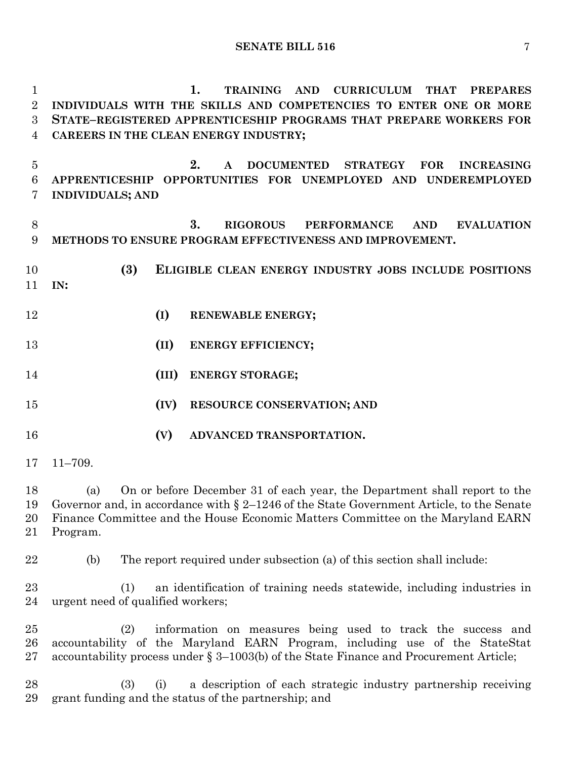**1. TRAINING AND CURRICULUM THAT PREPARES INDIVIDUALS WITH THE SKILLS AND COMPETENCIES TO ENTER ONE OR MORE STATE–REGISTERED APPRENTICESHIP PROGRAMS THAT PREPARE WORKERS FOR CAREERS IN THE CLEAN ENERGY INDUSTRY;**

 **2. A DOCUMENTED STRATEGY FOR INCREASING APPRENTICESHIP OPPORTUNITIES FOR UNEMPLOYED AND UNDEREMPLOYED INDIVIDUALS; AND**

 **3. RIGOROUS PERFORMANCE AND EVALUATION METHODS TO ENSURE PROGRAM EFFECTIVENESS AND IMPROVEMENT.**

- **(3) ELIGIBLE CLEAN ENERGY INDUSTRY JOBS INCLUDE POSITIONS IN:**
- **(I) RENEWABLE ENERGY;**
- **(II) ENERGY EFFICIENCY;**
- **(III) ENERGY STORAGE;**
- **(IV) RESOURCE CONSERVATION; AND**
- **(V) ADVANCED TRANSPORTATION.**
- 11–709.

 (a) On or before December 31 of each year, the Department shall report to the Governor and, in accordance with § 2–1246 of the State Government Article, to the Senate Finance Committee and the House Economic Matters Committee on the Maryland EARN Program.

- (b) The report required under subsection (a) of this section shall include:
	- (1) an identification of training needs statewide, including industries in urgent need of qualified workers;

 (2) information on measures being used to track the success and accountability of the Maryland EARN Program, including use of the StateStat accountability process under § 3–1003(b) of the State Finance and Procurement Article;

 (3) (i) a description of each strategic industry partnership receiving grant funding and the status of the partnership; and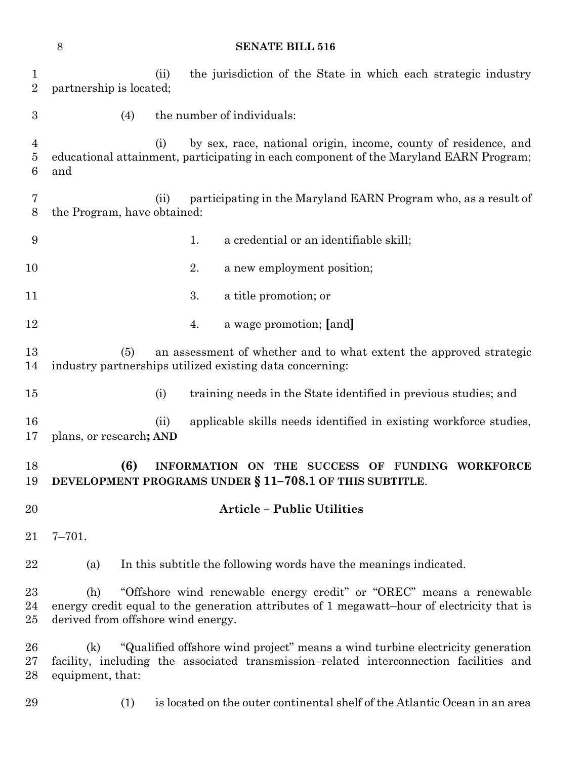|                                | 8                                         |      |    | <b>SENATE BILL 516</b>                                                                                                                                                  |
|--------------------------------|-------------------------------------------|------|----|-------------------------------------------------------------------------------------------------------------------------------------------------------------------------|
| $\mathbf{1}$<br>$\overline{2}$ | partnership is located;                   | (ii) |    | the jurisdiction of the State in which each strategic industry                                                                                                          |
| $\boldsymbol{3}$               | (4)                                       |      |    | the number of individuals:                                                                                                                                              |
| 4<br>5<br>6                    | and                                       | (i)  |    | by sex, race, national origin, income, county of residence, and<br>educational attainment, participating in each component of the Maryland EARN Program;                |
| 7<br>8                         | the Program, have obtained:               | (ii) |    | participating in the Maryland EARN Program who, as a result of                                                                                                          |
| 9                              |                                           |      | 1. | a credential or an identifiable skill;                                                                                                                                  |
| 10                             |                                           |      | 2. | a new employment position;                                                                                                                                              |
| 11                             |                                           |      | 3. | a title promotion; or                                                                                                                                                   |
| 12                             |                                           |      | 4. | a wage promotion; [and]                                                                                                                                                 |
| 13<br>14                       | (5)                                       |      |    | an assessment of whether and to what extent the approved strategic<br>industry partnerships utilized existing data concerning:                                          |
| $15\,$                         |                                           | (i)  |    | training needs in the State identified in previous studies; and                                                                                                         |
| 16<br>17                       | plans, or research; AND                   | (ii) |    | applicable skills needs identified in existing workforce studies,                                                                                                       |
| 18<br>19                       | (6)                                       |      |    | INFORMATION ON THE SUCCESS OF FUNDING WORKFORCE<br>DEVELOPMENT PROGRAMS UNDER § 11-708.1 OF THIS SUBTITLE.                                                              |
| 20                             |                                           |      |    | <b>Article - Public Utilities</b>                                                                                                                                       |
| 21                             | $7 - 701.$                                |      |    |                                                                                                                                                                         |
| $22\,$                         | (a)                                       |      |    | In this subtitle the following words have the meanings indicated.                                                                                                       |
| 23<br>24<br>25                 | (h)<br>derived from offshore wind energy. |      |    | "Offshore wind renewable energy credit" or "OREC" means a renewable<br>energy credit equal to the generation attributes of 1 megawatt-hour of electricity that is       |
| 26<br>$27\,$<br>28             | (k)<br>equipment, that:                   |      |    | "Qualified offshore wind project" means a wind turbine electricity generation<br>facility, including the associated transmission-related interconnection facilities and |
| 29                             | (1)                                       |      |    | is located on the outer continental shelf of the Atlantic Ocean in an area                                                                                              |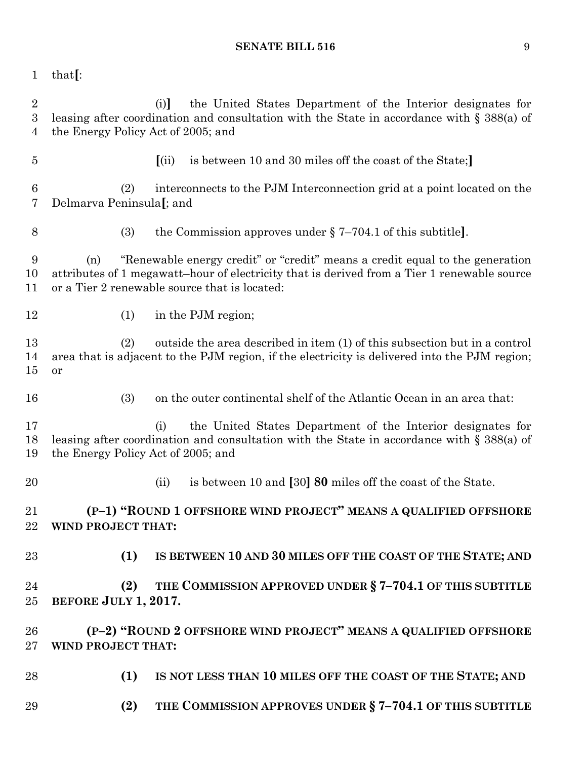that**[**:

 (i)**]** the United States Department of the Interior designates for leasing after coordination and consultation with the State in accordance with § 388(a) of the Energy Policy Act of 2005; and **[**(ii) is between 10 and 30 miles off the coast of the State;**]** (2) interconnects to the PJM Interconnection grid at a point located on the Delmarva Peninsula**[**; and (3) the Commission approves under § 7–704.1 of this subtitle**]**. (n) "Renewable energy credit" or "credit" means a credit equal to the generation attributes of 1 megawatt–hour of electricity that is derived from a Tier 1 renewable source or a Tier 2 renewable source that is located: 12 (1) in the PJM region; (2) outside the area described in item (1) of this subsection but in a control area that is adjacent to the PJM region, if the electricity is delivered into the PJM region; or (3) on the outer continental shelf of the Atlantic Ocean in an area that: (i) the United States Department of the Interior designates for leasing after coordination and consultation with the State in accordance with § 388(a) of the Energy Policy Act of 2005; and (ii) is between 10 and **[**30**] 80** miles off the coast of the State. **(P–1) "ROUND 1 OFFSHORE WIND PROJECT" MEANS A QUALIFIED OFFSHORE WIND PROJECT THAT: (1) IS BETWEEN 10 AND 30 MILES OFF THE COAST OF THE STATE; AND (2) THE COMMISSION APPROVED UNDER § 7–704.1 OF THIS SUBTITLE BEFORE JULY 1, 2017. (P–2) "ROUND 2 OFFSHORE WIND PROJECT" MEANS A QUALIFIED OFFSHORE WIND PROJECT THAT: (1) IS NOT LESS THAN 10 MILES OFF THE COAST OF THE STATE; AND (2) THE COMMISSION APPROVES UNDER § 7–704.1 OF THIS SUBTITLE**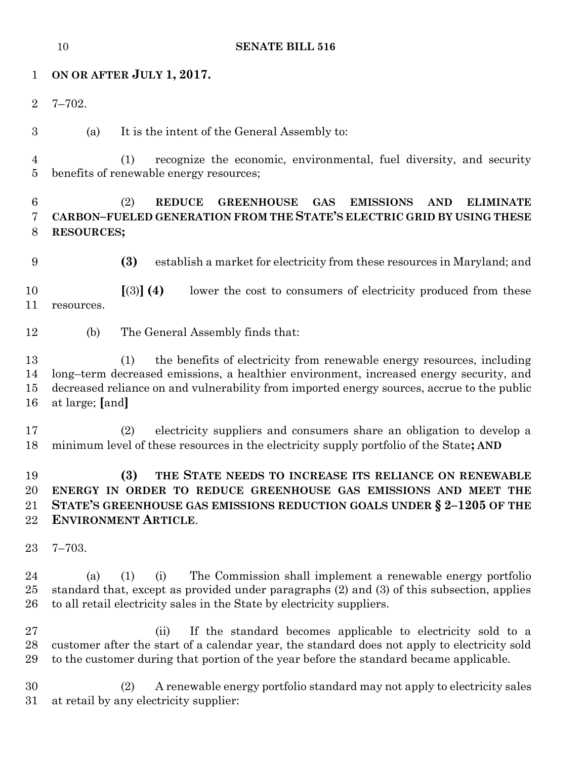# **ON OR AFTER JULY 1, 2017.**

- 7–702.
- (a) It is the intent of the General Assembly to:

 (1) recognize the economic, environmental, fuel diversity, and security benefits of renewable energy resources;

# (2) **REDUCE GREENHOUSE GAS EMISSIONS AND ELIMINATE CARBON–FUELED GENERATION FROM THE STATE'S ELECTRIC GRID BY USING THESE RESOURCES;**

**(3)** establish a market for electricity from these resources in Maryland; and

 **[**(3)**] (4)** lower the cost to consumers of electricity produced from these resources.

(b) The General Assembly finds that:

 (1) the benefits of electricity from renewable energy resources, including long–term decreased emissions, a healthier environment, increased energy security, and decreased reliance on and vulnerability from imported energy sources, accrue to the public at large; **[**and**]**

 (2) electricity suppliers and consumers share an obligation to develop a minimum level of these resources in the electricity supply portfolio of the State**; AND**

# **(3) THE STATE NEEDS TO INCREASE ITS RELIANCE ON RENEWABLE ENERGY IN ORDER TO REDUCE GREENHOUSE GAS EMISSIONS AND MEET THE STATE'S GREENHOUSE GAS EMISSIONS REDUCTION GOALS UNDER § 2–1205 OF THE ENVIRONMENT ARTICLE**.

7–703.

 (a) (1) (i) The Commission shall implement a renewable energy portfolio standard that, except as provided under paragraphs (2) and (3) of this subsection, applies to all retail electricity sales in the State by electricity suppliers.

 (ii) If the standard becomes applicable to electricity sold to a customer after the start of a calendar year, the standard does not apply to electricity sold to the customer during that portion of the year before the standard became applicable.

 (2) A renewable energy portfolio standard may not apply to electricity sales at retail by any electricity supplier: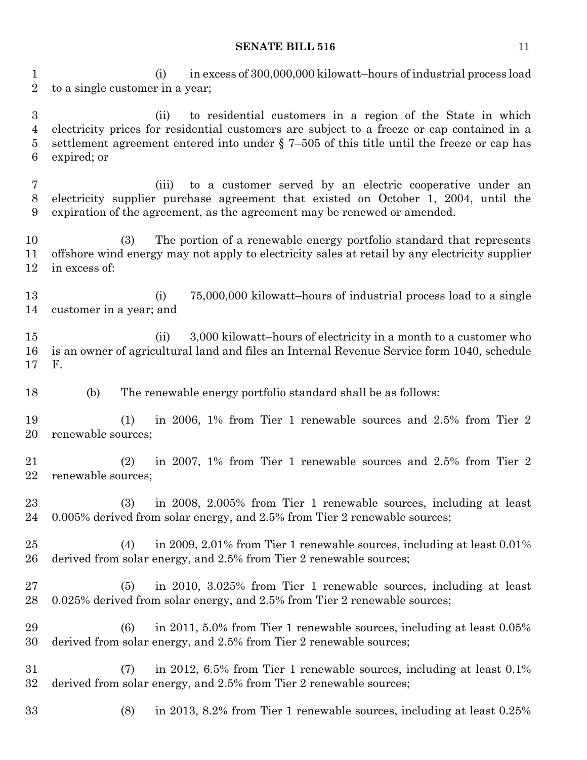(i) in excess of 300,000,000 kilowatt–hours of industrial process load to a single customer in a year;

 (ii) to residential customers in a region of the State in which electricity prices for residential customers are subject to a freeze or cap contained in a settlement agreement entered into under § 7–505 of this title until the freeze or cap has expired; or

 (iii) to a customer served by an electric cooperative under an electricity supplier purchase agreement that existed on October 1, 2004, until the expiration of the agreement, as the agreement may be renewed or amended.

 (3) The portion of a renewable energy portfolio standard that represents offshore wind energy may not apply to electricity sales at retail by any electricity supplier in excess of:

 (i) 75,000,000 kilowatt–hours of industrial process load to a single customer in a year; and

15 (ii) 3,000 kilowatt–hours of electricity in a month to a customer who is an owner of agricultural land and files an Internal Revenue Service form 1040, schedule F.

(b) The renewable energy portfolio standard shall be as follows:

 (1) in 2006, 1% from Tier 1 renewable sources and 2.5% from Tier 2 renewable sources;

 (2) in 2007, 1% from Tier 1 renewable sources and 2.5% from Tier 2 renewable sources;

 (3) in 2008, 2.005% from Tier 1 renewable sources, including at least 0.005% derived from solar energy, and 2.5% from Tier 2 renewable sources;

 (4) in 2009, 2.01% from Tier 1 renewable sources, including at least 0.01% derived from solar energy, and 2.5% from Tier 2 renewable sources;

 (5) in 2010, 3.025% from Tier 1 renewable sources, including at least 0.025% derived from solar energy, and 2.5% from Tier 2 renewable sources;

 (6) in 2011, 5.0% from Tier 1 renewable sources, including at least 0.05% derived from solar energy, and 2.5% from Tier 2 renewable sources;

 (7) in 2012, 6.5% from Tier 1 renewable sources, including at least 0.1% derived from solar energy, and 2.5% from Tier 2 renewable sources;

(8) in 2013, 8.2% from Tier 1 renewable sources, including at least 0.25%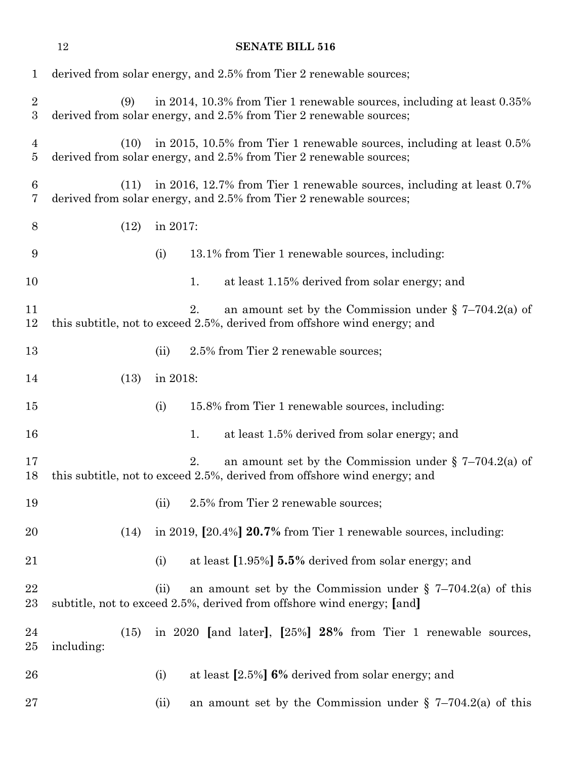|                                  | 12         |      |          | <b>SENATE BILL 516</b>                                                                                                                       |
|----------------------------------|------------|------|----------|----------------------------------------------------------------------------------------------------------------------------------------------|
| $\mathbf{1}$                     |            |      |          | derived from solar energy, and 2.5% from Tier 2 renewable sources;                                                                           |
| $\sqrt{2}$<br>$\sqrt{3}$         |            | (9)  |          | in 2014, 10.3% from Tier 1 renewable sources, including at least 0.35%<br>derived from solar energy, and 2.5% from Tier 2 renewable sources; |
| $\overline{4}$<br>$\overline{5}$ |            | (10) |          | in 2015, 10.5% from Tier 1 renewable sources, including at least 0.5%<br>derived from solar energy, and 2.5% from Tier 2 renewable sources;  |
| 6<br>$\overline{7}$              |            | (11) |          | in 2016, 12.7% from Tier 1 renewable sources, including at least 0.7%<br>derived from solar energy, and 2.5% from Tier 2 renewable sources;  |
| 8                                |            | (12) | in 2017: |                                                                                                                                              |
| 9                                |            |      | (i)      | 13.1% from Tier 1 renewable sources, including:                                                                                              |
| 10                               |            |      |          | at least 1.15% derived from solar energy; and<br>1.                                                                                          |
| 11<br>12                         |            |      |          | an amount set by the Commission under $\S$ 7-704.2(a) of<br>2.<br>this subtitle, not to exceed 2.5%, derived from offshore wind energy; and  |
| 13                               |            |      | (ii)     | 2.5% from Tier 2 renewable sources;                                                                                                          |
| 14                               |            | (13) | in 2018: |                                                                                                                                              |
| 15                               |            |      | (i)      | 15.8% from Tier 1 renewable sources, including:                                                                                              |
| 16                               |            |      |          | 1.<br>at least 1.5% derived from solar energy; and                                                                                           |
| 17<br>18                         |            |      |          | an amount set by the Commission under $\S$ 7-704.2(a) of<br>2.<br>this subtitle, not to exceed 2.5%, derived from offshore wind energy; and  |
| 19                               |            |      | (ii)     | 2.5% from Tier 2 renewable sources;                                                                                                          |
| 20                               |            | (14) |          | in 2019, [20.4%] 20.7% from Tier 1 renewable sources, including:                                                                             |
| 21                               |            |      | (i)      | at least [1.95%] 5.5% derived from solar energy; and                                                                                         |
| 22<br>23                         |            |      | (ii)     | an amount set by the Commission under $\S$ 7-704.2(a) of this<br>subtitle, not to exceed 2.5%, derived from offshore wind energy; [and]      |
| 24<br>25                         | including: | (15) |          | in 2020 [and later], [25%] 28% from Tier 1 renewable sources,                                                                                |
| 26                               |            |      | (i)      | at least $[2.5\%]$ 6% derived from solar energy; and                                                                                         |
| 27                               |            |      | (ii)     | an amount set by the Commission under $\S$ 7-704.2(a) of this                                                                                |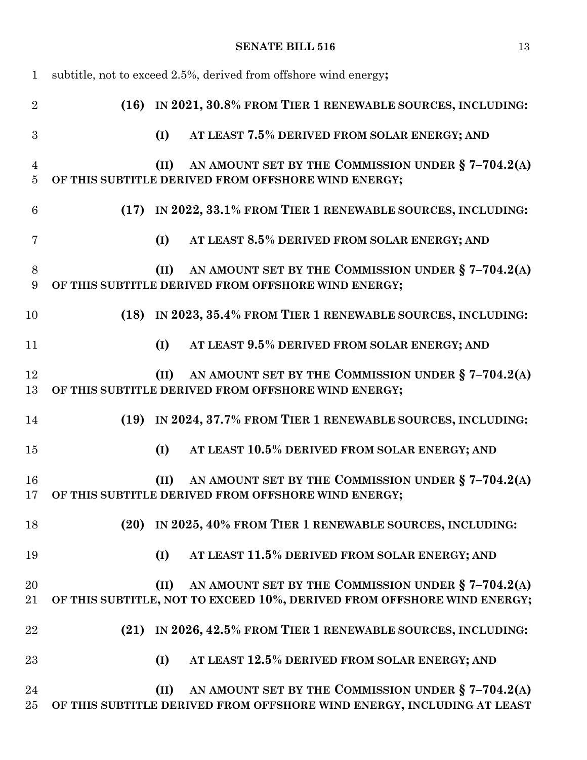| $\mathbf{1}$                     |      |      | subtitle, not to exceed 2.5%, derived from offshore wind energy;                                                                |
|----------------------------------|------|------|---------------------------------------------------------------------------------------------------------------------------------|
| $\overline{2}$                   |      |      | (16) IN 2021, 30.8% FROM TIER 1 RENEWABLE SOURCES, INCLUDING:                                                                   |
| 3                                |      | (I)  | AT LEAST 7.5% DERIVED FROM SOLAR ENERGY; AND                                                                                    |
| $\overline{4}$<br>$\overline{5}$ |      | (II) | AN AMOUNT SET BY THE COMMISSION UNDER § 7-704.2(A)<br>OF THIS SUBTITLE DERIVED FROM OFFSHORE WIND ENERGY;                       |
| 6                                | (17) |      | IN 2022, 33.1% FROM TIER 1 RENEWABLE SOURCES, INCLUDING:                                                                        |
| 7                                |      | (I)  | AT LEAST 8.5% DERIVED FROM SOLAR ENERGY; AND                                                                                    |
| 8<br>9                           |      | (II) | AN AMOUNT SET BY THE COMMISSION UNDER § 7-704.2(A)<br>OF THIS SUBTITLE DERIVED FROM OFFSHORE WIND ENERGY;                       |
| 10                               |      |      | (18) IN 2023, 35.4% FROM TIER 1 RENEWABLE SOURCES, INCLUDING:                                                                   |
| 11                               |      | (I)  | AT LEAST 9.5% DERIVED FROM SOLAR ENERGY; AND                                                                                    |
| 12<br>13                         |      | (II) | AN AMOUNT SET BY THE COMMISSION UNDER § 7-704.2(A)<br>OF THIS SUBTITLE DERIVED FROM OFFSHORE WIND ENERGY;                       |
| 14                               |      |      | (19) IN 2024, 37.7% FROM TIER 1 RENEWABLE SOURCES, INCLUDING:                                                                   |
| 15                               |      | (I)  | AT LEAST 10.5% DERIVED FROM SOLAR ENERGY; AND                                                                                   |
| 16<br>17                         |      | (II) | AN AMOUNT SET BY THE COMMISSION UNDER $\S 7-704.2(A)$<br>OF THIS SUBTITLE DERIVED FROM OFFSHORE WIND ENERGY;                    |
| 18                               | (20) |      | IN 2025, 40% FROM TIER 1 RENEWABLE SOURCES, INCLUDING:                                                                          |
| 19                               |      | (I)  | AT LEAST 11.5% DERIVED FROM SOLAR ENERGY; AND                                                                                   |
| 20<br>21                         |      | (II) | AN AMOUNT SET BY THE COMMISSION UNDER § 7-704.2(A)<br>OF THIS SUBTITLE, NOT TO EXCEED 10%, DERIVED FROM OFFSHORE WIND ENERGY;   |
| 22                               | (21) |      | IN 2026, 42.5% FROM TIER 1 RENEWABLE SOURCES, INCLUDING:                                                                        |
| 23                               |      | (I)  | AT LEAST 12.5% DERIVED FROM SOLAR ENERGY; AND                                                                                   |
| 24<br>25                         |      | (II) | AN AMOUNT SET BY THE COMMISSION UNDER $\S 7-704.2(A)$<br>OF THIS SUBTITLE DERIVED FROM OFFSHORE WIND ENERGY, INCLUDING AT LEAST |
|                                  |      |      |                                                                                                                                 |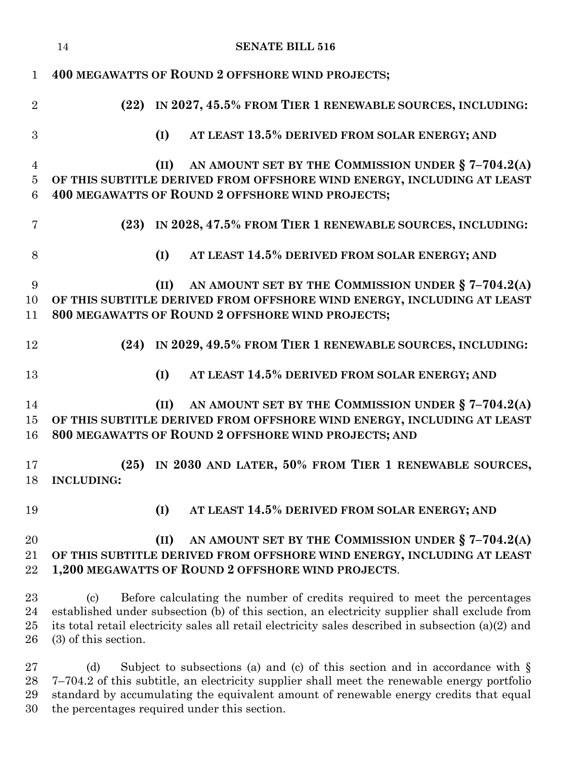|                                | <b>SENATE BILL 516</b><br>14                                                                                                                                                                                                                                                                                     |
|--------------------------------|------------------------------------------------------------------------------------------------------------------------------------------------------------------------------------------------------------------------------------------------------------------------------------------------------------------|
| $\mathbf{1}$                   | <b>400 MEGAWATTS OF ROUND 2 OFFSHORE WIND PROJECTS;</b>                                                                                                                                                                                                                                                          |
| $\overline{2}$                 | IN 2027, 45.5% FROM TIER 1 RENEWABLE SOURCES, INCLUDING:<br>(22)                                                                                                                                                                                                                                                 |
| 3                              | AT LEAST 13.5% DERIVED FROM SOLAR ENERGY; AND<br>(I)                                                                                                                                                                                                                                                             |
| $\overline{4}$<br>$\bf 5$<br>6 | AN AMOUNT SET BY THE COMMISSION UNDER § 7-704.2(A)<br>(II)<br>OF THIS SUBTITLE DERIVED FROM OFFSHORE WIND ENERGY, INCLUDING AT LEAST<br>400 MEGAWATTS OF ROUND 2 OFFSHORE WIND PROJECTS;                                                                                                                         |
| 7                              | (23) IN 2028, 47.5% FROM TIER 1 RENEWABLE SOURCES, INCLUDING:                                                                                                                                                                                                                                                    |
| 8                              | (I)<br>AT LEAST 14.5% DERIVED FROM SOLAR ENERGY; AND                                                                                                                                                                                                                                                             |
| 9<br>10<br>11                  | AN AMOUNT SET BY THE COMMISSION UNDER § 7-704.2(A)<br>(II)<br>OF THIS SUBTITLE DERIVED FROM OFFSHORE WIND ENERGY, INCLUDING AT LEAST<br>800 MEGAWATTS OF ROUND 2 OFFSHORE WIND PROJECTS;                                                                                                                         |
| 12                             | (24) IN 2029, 49.5% FROM TIER 1 RENEWABLE SOURCES, INCLUDING:                                                                                                                                                                                                                                                    |
| 13                             | (I)<br>AT LEAST 14.5% DERIVED FROM SOLAR ENERGY; AND                                                                                                                                                                                                                                                             |
| 14<br>15<br>16                 | AN AMOUNT SET BY THE COMMISSION UNDER § 7-704.2(A)<br>(II)<br>OF THIS SUBTITLE DERIVED FROM OFFSHORE WIND ENERGY, INCLUDING AT LEAST<br>800 MEGAWATTS OF ROUND 2 OFFSHORE WIND PROJECTS; AND                                                                                                                     |
| 17<br>18                       | (25) IN 2030 AND LATER, 50% FROM TIER 1 RENEWABLE SOURCES,<br><b>INCLUDING:</b>                                                                                                                                                                                                                                  |
| 19                             | (I)<br>AT LEAST 14.5% DERIVED FROM SOLAR ENERGY; AND                                                                                                                                                                                                                                                             |
| 20<br>21<br>22                 | AN AMOUNT SET BY THE COMMISSION UNDER $\S$ 7-704.2(A)<br>(II)<br>OF THIS SUBTITLE DERIVED FROM OFFSHORE WIND ENERGY, INCLUDING AT LEAST<br>1,200 MEGAWATTS OF ROUND 2 OFFSHORE WIND PROJECTS.                                                                                                                    |
| 23<br>24<br>25<br>26           | Before calculating the number of credits required to meet the percentages<br>(c)<br>established under subsection (b) of this section, an electricity supplier shall exclude from<br>its total retail electricity sales all retail electricity sales described in subsection (a)(2) and<br>$(3)$ of this section. |

27 (d) Subject to subsections (a) and (c) of this section and in accordance with § 7–704.2 of this subtitle, an electricity supplier shall meet the renewable energy portfolio standard by accumulating the equivalent amount of renewable energy credits that equal the percentages required under this section.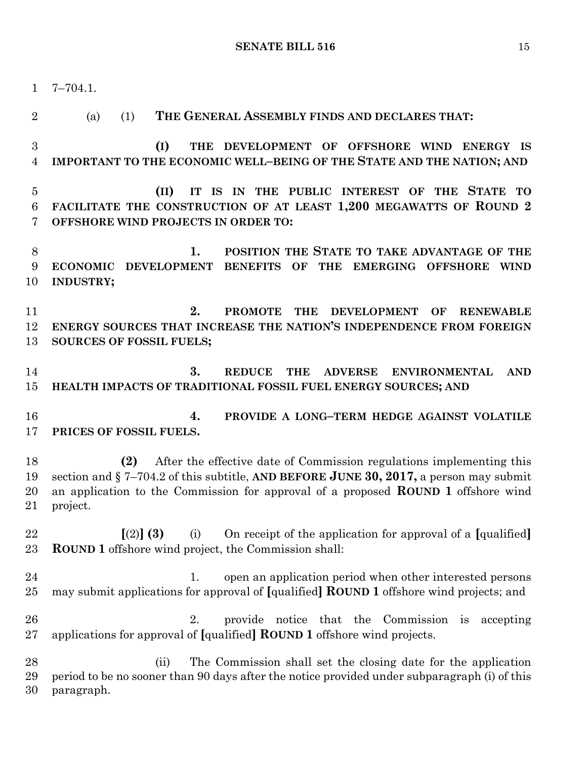7–704.1. 2 (a) (1) **THE GENERAL ASSEMBLY FINDS AND DECLARES THAT: (I) THE DEVELOPMENT OF OFFSHORE WIND ENERGY IS IMPORTANT TO THE ECONOMIC WELL–BEING OF THE STATE AND THE NATION; AND (II) IT IS IN THE PUBLIC INTEREST OF THE STATE TO FACILITATE THE CONSTRUCTION OF AT LEAST 1,200 MEGAWATTS OF ROUND 2 OFFSHORE WIND PROJECTS IN ORDER TO: 1. POSITION THE STATE TO TAKE ADVANTAGE OF THE ECONOMIC DEVELOPMENT BENEFITS OF THE EMERGING OFFSHORE WIND INDUSTRY; 2. PROMOTE THE DEVELOPMENT OF RENEWABLE ENERGY SOURCES THAT INCREASE THE NATION'S INDEPENDENCE FROM FOREIGN SOURCES OF FOSSIL FUELS; 3. REDUCE THE ADVERSE ENVIRONMENTAL AND HEALTH IMPACTS OF TRADITIONAL FOSSIL FUEL ENERGY SOURCES; AND 4. PROVIDE A LONG–TERM HEDGE AGAINST VOLATILE PRICES OF FOSSIL FUELS. (2)** After the effective date of Commission regulations implementing this section and § 7–704.2 of this subtitle, **AND BEFORE JUNE 30, 2017,** a person may submit an application to the Commission for approval of a proposed **ROUND 1** offshore wind project. **[**(2)**] (3)** (i) On receipt of the application for approval of a **[**qualified**] ROUND 1** offshore wind project, the Commission shall: 24 1. open an application period when other interested persons may submit applications for approval of **[**qualified**] ROUND 1** offshore wind projects; and 2. provide notice that the Commission is accepting applications for approval of **[**qualified**] ROUND 1** offshore wind projects. (ii) The Commission shall set the closing date for the application period to be no sooner than 90 days after the notice provided under subparagraph (i) of this paragraph.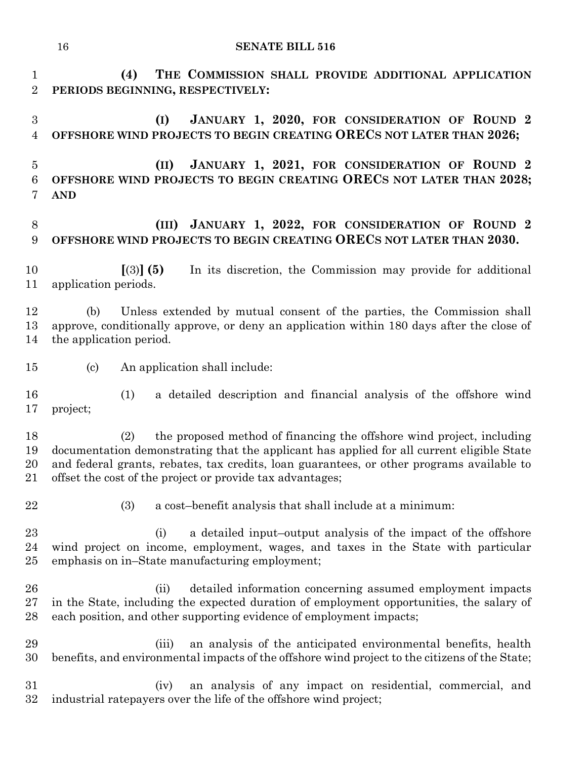| 1<br>$\overline{2}$      | (4)<br>THE COMMISSION SHALL PROVIDE ADDITIONAL APPLICATION<br>PERIODS BEGINNING, RESPECTIVELY:                                                                                                                                                                                                                                      |
|--------------------------|-------------------------------------------------------------------------------------------------------------------------------------------------------------------------------------------------------------------------------------------------------------------------------------------------------------------------------------|
| 3<br>4                   | JANUARY 1, 2020, FOR CONSIDERATION OF ROUND 2<br>(I)<br>OFFSHORE WIND PROJECTS TO BEGIN CREATING ORECS NOT LATER THAN 2026;                                                                                                                                                                                                         |
| $\overline{5}$<br>6<br>7 | JANUARY 1, 2021, FOR CONSIDERATION OF ROUND 2<br>(II)<br>OFFSHORE WIND PROJECTS TO BEGIN CREATING ORECS NOT LATER THAN 2028;<br><b>AND</b>                                                                                                                                                                                          |
| 8<br>9                   | JANUARY 1, 2022, FOR CONSIDERATION OF ROUND 2<br>(III)<br>OFFSHORE WIND PROJECTS TO BEGIN CREATING ORECS NOT LATER THAN 2030.                                                                                                                                                                                                       |
| 10<br>11                 | $(3)$ (5)<br>In its discretion, the Commission may provide for additional<br>application periods.                                                                                                                                                                                                                                   |
| 12<br>13<br>14           | Unless extended by mutual consent of the parties, the Commission shall<br>(b)<br>approve, conditionally approve, or deny an application within 180 days after the close of<br>the application period.                                                                                                                               |
| 15                       | $\left( \text{c}\right)$<br>An application shall include:                                                                                                                                                                                                                                                                           |
| 16<br>17                 | (1)<br>a detailed description and financial analysis of the offshore wind<br>project;                                                                                                                                                                                                                                               |
| 18<br>19<br>20<br>21     | the proposed method of financing the offshore wind project, including<br>(2)<br>documentation demonstrating that the applicant has applied for all current eligible State<br>and federal grants, rebates, tax credits, loan guarantees, or other programs available to<br>offset the cost of the project or provide tax advantages; |
| 22                       | (3)<br>a cost-benefit analysis that shall include at a minimum:                                                                                                                                                                                                                                                                     |
| 23<br>24<br>25           | a detailed input-output analysis of the impact of the offshore<br>(i)<br>wind project on income, employment, wages, and taxes in the State with particular<br>emphasis on in–State manufacturing employment;                                                                                                                        |
| 26<br>27<br>28           | (ii)<br>detailed information concerning assumed employment impacts<br>in the State, including the expected duration of employment opportunities, the salary of<br>each position, and other supporting evidence of employment impacts;                                                                                               |
| 29<br>30                 | an analysis of the anticipated environmental benefits, health<br>(iii)<br>benefits, and environmental impacts of the offshore wind project to the citizens of the State;                                                                                                                                                            |

31 (iv) an analysis of any impact on residential, commercial, and industrial rate payers over the life of the offshore wind project; industrial ratepayers over the life of the offshore wind project;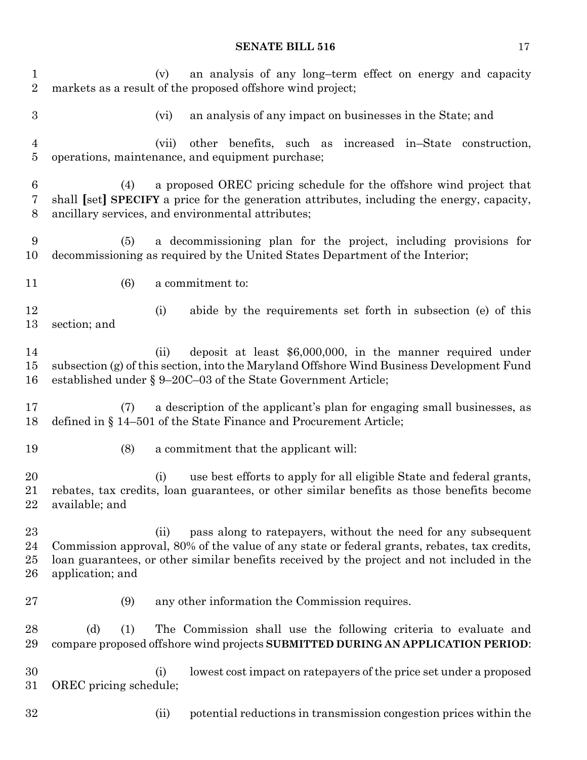(v) an analysis of any long–term effect on energy and capacity markets as a result of the proposed offshore wind project; (vi) an analysis of any impact on businesses in the State; and (vii) other benefits, such as increased in–State construction, operations, maintenance, and equipment purchase; (4) a proposed OREC pricing schedule for the offshore wind project that shall **[**set**] SPECIFY** a price for the generation attributes, including the energy, capacity, ancillary services, and environmental attributes; (5) a decommissioning plan for the project, including provisions for decommissioning as required by the United States Department of the Interior; (6) a commitment to: (i) abide by the requirements set forth in subsection (e) of this section; and 14 (ii) deposit at least \$6,000,000, in the manner required under subsection (g) of this section, into the Maryland Offshore Wind Business Development Fund established under § 9–20C–03 of the State Government Article; (7) a description of the applicant's plan for engaging small businesses, as defined in § 14–501 of the State Finance and Procurement Article; (8) a commitment that the applicant will: (i) use best efforts to apply for all eligible State and federal grants, rebates, tax credits, loan guarantees, or other similar benefits as those benefits become available; and (ii) pass along to ratepayers, without the need for any subsequent Commission approval, 80% of the value of any state or federal grants, rebates, tax credits, loan guarantees, or other similar benefits received by the project and not included in the application; and (9) any other information the Commission requires. (d) (1) The Commission shall use the following criteria to evaluate and compare proposed offshore wind projects **SUBMITTED DURING AN APPLICATION PERIOD**: (i) lowest cost impact on ratepayers of the price set under a proposed OREC pricing schedule; (ii) potential reductions in transmission congestion prices within the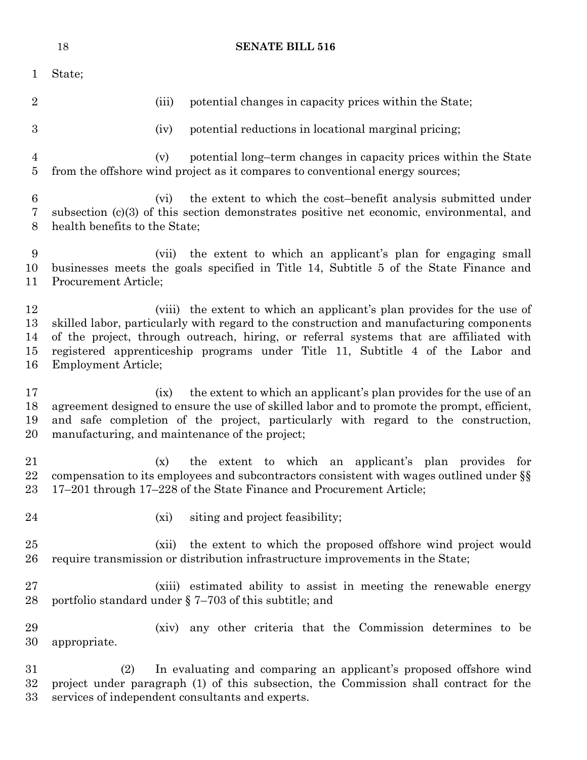|                                         | 18                            |       | <b>SENATE BILL 516</b>                                                                                                                                                                                                                                                                                                                         |
|-----------------------------------------|-------------------------------|-------|------------------------------------------------------------------------------------------------------------------------------------------------------------------------------------------------------------------------------------------------------------------------------------------------------------------------------------------------|
| $\mathbf{1}$                            | State;                        |       |                                                                                                                                                                                                                                                                                                                                                |
| $\overline{2}$                          |                               | (iii) | potential changes in capacity prices within the State;                                                                                                                                                                                                                                                                                         |
| 3                                       |                               | (iv)  | potential reductions in locational marginal pricing;                                                                                                                                                                                                                                                                                           |
| $\overline{4}$<br>$\bf 5$               |                               | (v)   | potential long-term changes in capacity prices within the State<br>from the offshore wind project as it compares to conventional energy sources;                                                                                                                                                                                               |
| $\boldsymbol{6}$<br>$\overline{7}$<br>8 | health benefits to the State; | (vi)  | the extent to which the cost-benefit analysis submitted under<br>subsection $(c)(3)$ of this section demonstrates positive net economic, environmental, and                                                                                                                                                                                    |
| 9<br>10<br>11                           | Procurement Article;          |       | (vii) the extent to which an applicant's plan for engaging small<br>businesses meets the goals specified in Title 14, Subtitle 5 of the State Finance and                                                                                                                                                                                      |
| 12<br>13<br>14<br>15<br>16              | <b>Employment Article;</b>    |       | (viii) the extent to which an applicant's plan provides for the use of<br>skilled labor, particularly with regard to the construction and manufacturing components<br>of the project, through outreach, hiring, or referral systems that are affiliated with<br>registered apprenticeship programs under Title 11, Subtitle 4 of the Labor and |
| 17<br>18<br>19<br>20                    |                               | (ix)  | the extent to which an applicant's plan provides for the use of an<br>agreement designed to ensure the use of skilled labor and to promote the prompt, efficient,<br>and safe completion of the project, particularly with regard to the construction,<br>manufacturing, and maintenance of the project;                                       |
| 21<br>22<br>23                          |                               | (x)   | the extent to which an applicant's plan provides for<br>compensation to its employees and subcontractors consistent with wages outlined under §§<br>17–201 through 17–228 of the State Finance and Procurement Article;                                                                                                                        |
| 24                                      |                               | (xi)  | siting and project feasibility;                                                                                                                                                                                                                                                                                                                |
| 25<br>26                                |                               | (xii) | the extent to which the proposed offshore wind project would<br>require transmission or distribution infrastructure improvements in the State;                                                                                                                                                                                                 |
| 27<br>28                                |                               |       | (xiii) estimated ability to assist in meeting the renewable energy<br>portfolio standard under $\S$ 7–703 of this subtitle; and                                                                                                                                                                                                                |
| 29<br>30                                | appropriate.                  |       | (xiv) any other criteria that the Commission determines to be                                                                                                                                                                                                                                                                                  |
| 31<br>32<br>33                          | (2)                           |       | In evaluating and comparing an applicant's proposed offshore wind<br>project under paragraph (1) of this subsection, the Commission shall contract for the<br>services of independent consultants and experts.                                                                                                                                 |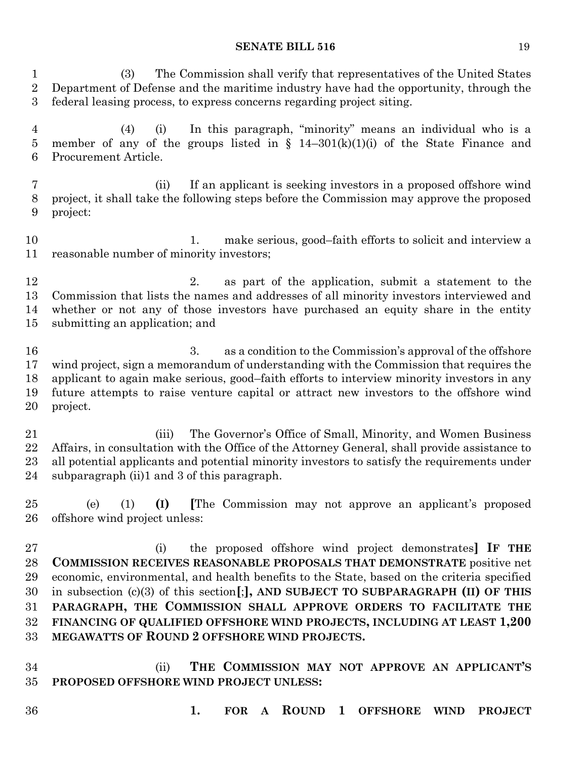(3) The Commission shall verify that representatives of the United States Department of Defense and the maritime industry have had the opportunity, through the federal leasing process, to express concerns regarding project siting.

 (4) (i) In this paragraph, "minority" means an individual who is a 5 member of any of the groups listed in  $\S$  14–301(k)(1)(i) of the State Finance and Procurement Article.

 (ii) If an applicant is seeking investors in a proposed offshore wind project, it shall take the following steps before the Commission may approve the proposed project:

10 10 1. make serious, good–faith efforts to solicit and interview a reasonable number of minority investors;

12 2. as part of the application, submit a statement to the Commission that lists the names and addresses of all minority investors interviewed and whether or not any of those investors have purchased an equity share in the entity submitting an application; and

 3. as a condition to the Commission's approval of the offshore wind project, sign a memorandum of understanding with the Commission that requires the applicant to again make serious, good–faith efforts to interview minority investors in any future attempts to raise venture capital or attract new investors to the offshore wind project.

 (iii) The Governor's Office of Small, Minority, and Women Business Affairs, in consultation with the Office of the Attorney General, shall provide assistance to all potential applicants and potential minority investors to satisfy the requirements under subparagraph (ii)1 and 3 of this paragraph.

 (e) (1) **(I) [**The Commission may not approve an applicant's proposed offshore wind project unless:

 (i) the proposed offshore wind project demonstrates**] IF THE COMMISSION RECEIVES REASONABLE PROPOSALS THAT DEMONSTRATE** positive net economic, environmental, and health benefits to the State, based on the criteria specified in subsection (c)(3) of this section**[**;**], AND SUBJECT TO SUBPARAGRAPH (II) OF THIS PARAGRAPH, THE COMMISSION SHALL APPROVE ORDERS TO FACILITATE THE FINANCING OF QUALIFIED OFFSHORE WIND PROJECTS, INCLUDING AT LEAST 1,200 MEGAWATTS OF ROUND 2 OFFSHORE WIND PROJECTS.**

 (ii) **THE COMMISSION MAY NOT APPROVE AN APPLICANT'S PROPOSED OFFSHORE WIND PROJECT UNLESS:**

- 
- **1. FOR A ROUND 1 OFFSHORE WIND PROJECT**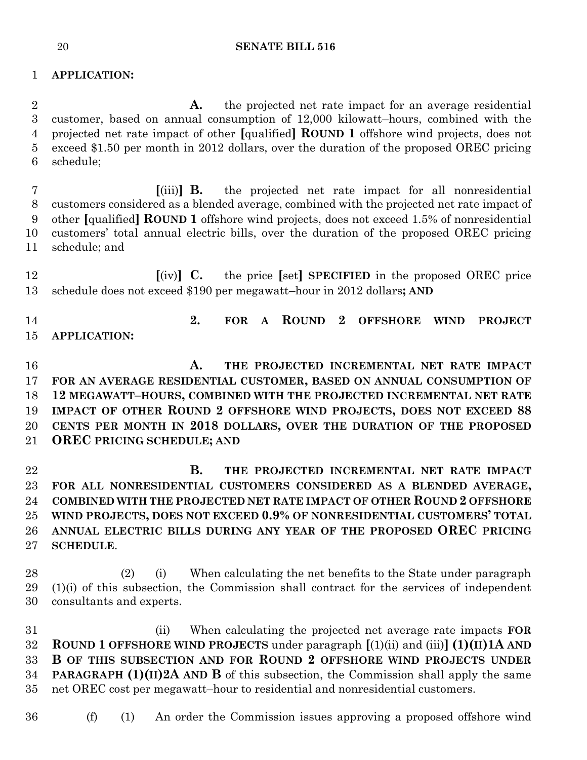## **APPLICATION:**

 **A.** the projected net rate impact for an average residential customer, based on annual consumption of 12,000 kilowatt–hours, combined with the projected net rate impact of other **[**qualified**] ROUND 1** offshore wind projects, does not exceed \$1.50 per month in 2012 dollars, over the duration of the proposed OREC pricing schedule;

 **[**(iii)**] B.** the projected net rate impact for all nonresidential customers considered as a blended average, combined with the projected net rate impact of other **[**qualified**] ROUND 1** offshore wind projects, does not exceed 1.5% of nonresidential customers' total annual electric bills, over the duration of the proposed OREC pricing schedule; and

 **[**(iv)**] C.** the price **[**set**] SPECIFIED** in the proposed OREC price schedule does not exceed \$190 per megawatt–hour in 2012 dollars**; AND**

 **2. FOR A ROUND 2 OFFSHORE WIND PROJECT APPLICATION:**

 **A. THE PROJECTED INCREMENTAL NET RATE IMPACT FOR AN AVERAGE RESIDENTIAL CUSTOMER, BASED ON ANNUAL CONSUMPTION OF 12 MEGAWATT–HOURS, COMBINED WITH THE PROJECTED INCREMENTAL NET RATE IMPACT OF OTHER ROUND 2 OFFSHORE WIND PROJECTS, DOES NOT EXCEED 88 CENTS PER MONTH IN 2018 DOLLARS, OVER THE DURATION OF THE PROPOSED OREC PRICING SCHEDULE; AND**

 **B. THE PROJECTED INCREMENTAL NET RATE IMPACT FOR ALL NONRESIDENTIAL CUSTOMERS CONSIDERED AS A BLENDED AVERAGE, COMBINED WITH THE PROJECTED NET RATE IMPACT OF OTHER ROUND 2 OFFSHORE WIND PROJECTS, DOES NOT EXCEED 0.9% OF NONRESIDENTIAL CUSTOMERS' TOTAL ANNUAL ELECTRIC BILLS DURING ANY YEAR OF THE PROPOSED OREC PRICING SCHEDULE**.

 (2) (i) When calculating the net benefits to the State under paragraph (1)(i) of this subsection, the Commission shall contract for the services of independent consultants and experts.

 (ii) When calculating the projected net average rate impacts **FOR ROUND 1 OFFSHORE WIND PROJECTS** under paragraph **[**(1)(ii) and (iii)**] (1)(II)1A AND B OF THIS SUBSECTION AND FOR ROUND 2 OFFSHORE WIND PROJECTS UNDER PARAGRAPH (1)(II)2A AND B** of this subsection, the Commission shall apply the same net OREC cost per megawatt–hour to residential and nonresidential customers.

(f) (1) An order the Commission issues approving a proposed offshore wind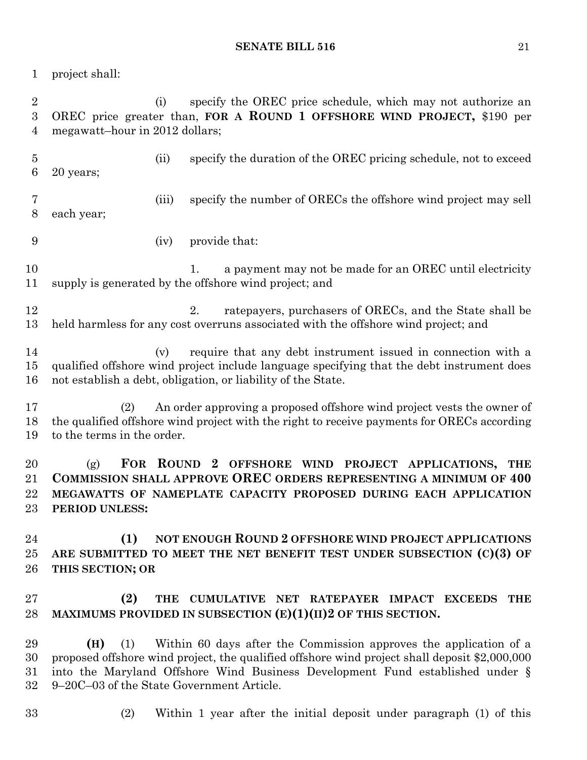project shall:

 (i) specify the OREC price schedule, which may not authorize an OREC price greater than, **FOR A ROUND 1 OFFSHORE WIND PROJECT,** \$190 per megawatt–hour in 2012 dollars; (ii) specify the duration of the OREC pricing schedule, not to exceed 20 years; (iii) specify the number of ORECs the offshore wind project may sell each year; (iv) provide that: 10 1. a payment may not be made for an OREC until electricity supply is generated by the offshore wind project; and 12 12 2. ratepayers, purchasers of ORECs, and the State shall be held harmless for any cost overruns associated with the offshore wind project; and (v) require that any debt instrument issued in connection with a qualified offshore wind project include language specifying that the debt instrument does not establish a debt, obligation, or liability of the State. (2) An order approving a proposed offshore wind project vests the owner of the qualified offshore wind project with the right to receive payments for ORECs according to the terms in the order. (g) **FOR ROUND 2 OFFSHORE WIND PROJECT APPLICATIONS, THE COMMISSION SHALL APPROVE OREC ORDERS REPRESENTING A MINIMUM OF 400 MEGAWATTS OF NAMEPLATE CAPACITY PROPOSED DURING EACH APPLICATION PERIOD UNLESS: (1) NOT ENOUGH ROUND 2 OFFSHORE WIND PROJECT APPLICATIONS ARE SUBMITTED TO MEET THE NET BENEFIT TEST UNDER SUBSECTION (C)(3) OF THIS SECTION; OR (2) THE CUMULATIVE NET RATEPAYER IMPACT EXCEEDS THE MAXIMUMS PROVIDED IN SUBSECTION (E)(1)(II)2 OF THIS SECTION. (H)** (1) Within 60 days after the Commission approves the application of a proposed offshore wind project, the qualified offshore wind project shall deposit \$2,000,000 into the Maryland Offshore Wind Business Development Fund established under § 9–20C–03 of the State Government Article.

- 
- (2) Within 1 year after the initial deposit under paragraph (1) of this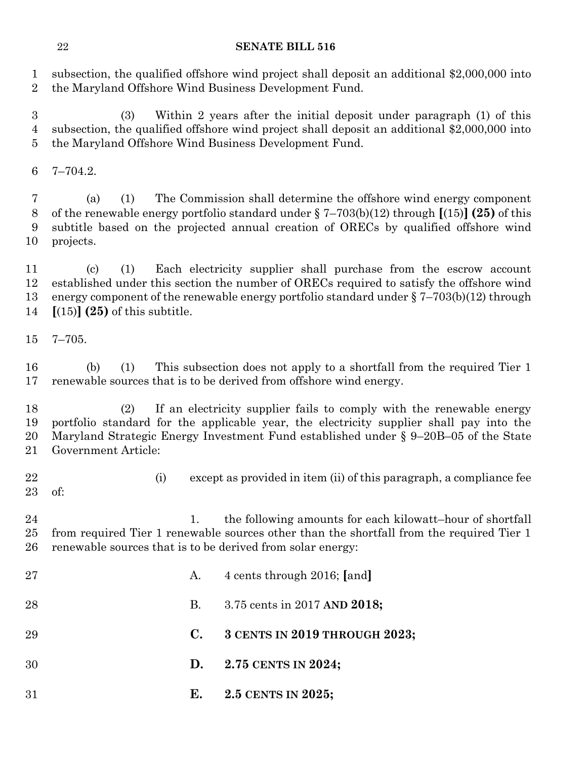subsection, the qualified offshore wind project shall deposit an additional \$2,000,000 into the Maryland Offshore Wind Business Development Fund.

 (3) Within 2 years after the initial deposit under paragraph (1) of this subsection, the qualified offshore wind project shall deposit an additional \$2,000,000 into the Maryland Offshore Wind Business Development Fund.

7–704.2.

 (a) (1) The Commission shall determine the offshore wind energy component of the renewable energy portfolio standard under § 7–703(b)(12) through **[**(15)**] (25)** of this subtitle based on the projected annual creation of ORECs by qualified offshore wind projects.

 (c) (1) Each electricity supplier shall purchase from the escrow account established under this section the number of ORECs required to satisfy the offshore wind energy component of the renewable energy portfolio standard under § 7–703(b)(12) through **[**(15)**] (25)** of this subtitle.

7–705.

 (b) (1) This subsection does not apply to a shortfall from the required Tier 1 renewable sources that is to be derived from offshore wind energy.

 (2) If an electricity supplier fails to comply with the renewable energy portfolio standard for the applicable year, the electricity supplier shall pay into the Maryland Strategic Energy Investment Fund established under § 9–20B–05 of the State Government Article:

22 (i) except as provided in item (ii) of this paragraph, a compliance fee of:

24 1. the following amounts for each kilowatt-hour of shortfall from required Tier 1 renewable sources other than the shortfall from the required Tier 1 renewable sources that is to be derived from solar energy:

| 27  | A.             | 4 cents through 2016; [and]   |
|-----|----------------|-------------------------------|
| 28  | В.             | 3.75 cents in 2017 AND 2018;  |
| 29  | $\mathbf{C}$ . | 3 CENTS IN 2019 THROUGH 2023; |
| 30  |                | D. $2.75$ CENTS IN 2024;      |
| -31 | E.             | $2.5$ CENTS IN $2025$ ;       |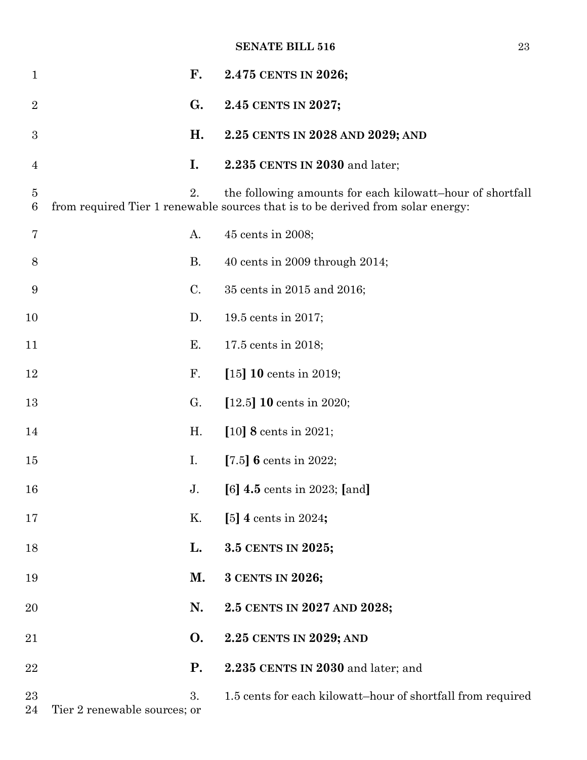| $\mathbf{1}$        |                              | $\mathbf{F}$ . | 2.475 CENTS IN 2026;                                                                                                                         |
|---------------------|------------------------------|----------------|----------------------------------------------------------------------------------------------------------------------------------------------|
| $\overline{2}$      |                              | G.             | 2.45 CENTS IN 2027;                                                                                                                          |
| $\boldsymbol{3}$    |                              | H.             | 2.25 CENTS IN 2028 AND 2029; AND                                                                                                             |
| $\overline{4}$      |                              | I.             | 2.235 CENTS IN 2030 and later;                                                                                                               |
| $\overline{5}$<br>6 |                              | 2.             | the following amounts for each kilowatt-hour of shortfall<br>from required Tier 1 renewable sources that is to be derived from solar energy: |
| 7                   |                              | А.             | 45 cents in 2008;                                                                                                                            |
| 8                   |                              | <b>B.</b>      | 40 cents in 2009 through $2014$ ;                                                                                                            |
| 9                   |                              | C.             | 35 cents in 2015 and 2016;                                                                                                                   |
| 10                  |                              | D.             | 19.5 cents in 2017;                                                                                                                          |
| 11                  |                              | Е.             | 17.5 cents in 2018;                                                                                                                          |
| 12                  |                              | F.             | $[15] 10$ cents in 2019;                                                                                                                     |
| 13                  |                              | G.             | [12.5] $10 \text{ cents in } 2020$ ;                                                                                                         |
| 14                  |                              | H.             | $[10]$ 8 cents in 2021;                                                                                                                      |
| 15                  | I.                           |                | [7.5] $\boldsymbol{6}$ cents in 2022;                                                                                                        |
| 16                  |                              | J <sub>1</sub> | [6] $4.5$ cents in 2023; [and]                                                                                                               |
| 17                  |                              | Κ.             | [5] 4 cents in 2024;                                                                                                                         |
| 18                  |                              | L.             | 3.5 CENTS IN 2025;                                                                                                                           |
| 19                  |                              | М.             | 3 CENTS IN 2026;                                                                                                                             |
| 20                  |                              | N.             | 2.5 CENTS IN 2027 AND 2028;                                                                                                                  |
| 21                  |                              | <b>O.</b>      | 2.25 CENTS IN 2029; AND                                                                                                                      |
| 22                  |                              | <b>P.</b>      | 2.235 CENTS IN 2030 and later; and                                                                                                           |
| 23<br>24            | Tier 2 renewable sources; or | 3.             | 1.5 cents for each kilowatt-hour of shortfall from required                                                                                  |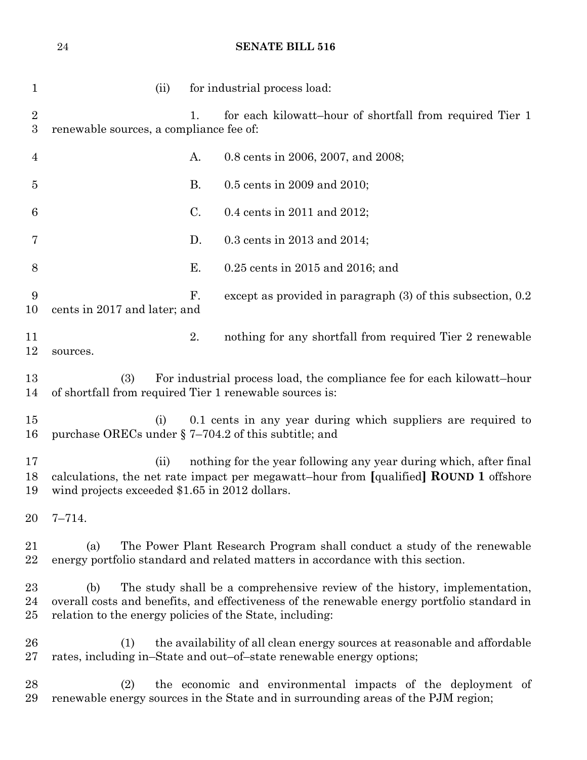| $\mathbf{1}$                   | for industrial process load:<br>(ii)                                                                                                                                                                                                        |
|--------------------------------|---------------------------------------------------------------------------------------------------------------------------------------------------------------------------------------------------------------------------------------------|
| $\sqrt{2}$<br>$\boldsymbol{3}$ | for each kilowatt-hour of shortfall from required Tier 1<br>1.<br>renewable sources, a compliance fee of:                                                                                                                                   |
| 4                              | А.<br>0.8 cents in 2006, 2007, and 2008;                                                                                                                                                                                                    |
| 5                              | <b>B.</b><br>0.5 cents in 2009 and 2010;                                                                                                                                                                                                    |
| 6                              | C.<br>0.4 cents in 2011 and 2012;                                                                                                                                                                                                           |
| 7                              | D.<br>0.3 cents in 2013 and 2014;                                                                                                                                                                                                           |
| 8                              | Ε.<br>$0.25$ cents in 2015 and 2016; and                                                                                                                                                                                                    |
| 9<br>10                        | F.<br>except as provided in paragraph $(3)$ of this subsection, 0.2<br>cents in 2017 and later; and                                                                                                                                         |
| 11<br>12                       | 2.<br>nothing for any shortfall from required Tier 2 renewable<br>sources.                                                                                                                                                                  |
| 13<br>14                       | (3)<br>For industrial process load, the compliance fee for each kilowatt-hour<br>of shortfall from required Tier 1 renewable sources is:                                                                                                    |
| 15<br>16                       | 0.1 cents in any year during which suppliers are required to<br>(i)<br>purchase ORECs under § 7-704.2 of this subtitle; and                                                                                                                 |
| 17<br>18<br>19                 | nothing for the year following any year during which, after final<br>(ii)<br>calculations, the net rate impact per megawatt-hour from [qualified] ROUND 1 offshore<br>wind projects exceeded \$1.65 in 2012 dollars.                        |
| 20                             | $7 - 714.$                                                                                                                                                                                                                                  |
| 21<br>22                       | The Power Plant Research Program shall conduct a study of the renewable<br>(a)<br>energy portfolio standard and related matters in accordance with this section.                                                                            |
| 23<br>24<br>25                 | (b)<br>The study shall be a comprehensive review of the history, implementation,<br>overall costs and benefits, and effectiveness of the renewable energy portfolio standard in<br>relation to the energy policies of the State, including: |
| 26<br>27                       | the availability of all clean energy sources at reasonable and affordable<br>(1)<br>rates, including in–State and out–of–state renewable energy options;                                                                                    |
| 28<br>29                       | (2)<br>the economic and environmental impacts of the deployment of<br>renewable energy sources in the State and in surrounding areas of the PJM region;                                                                                     |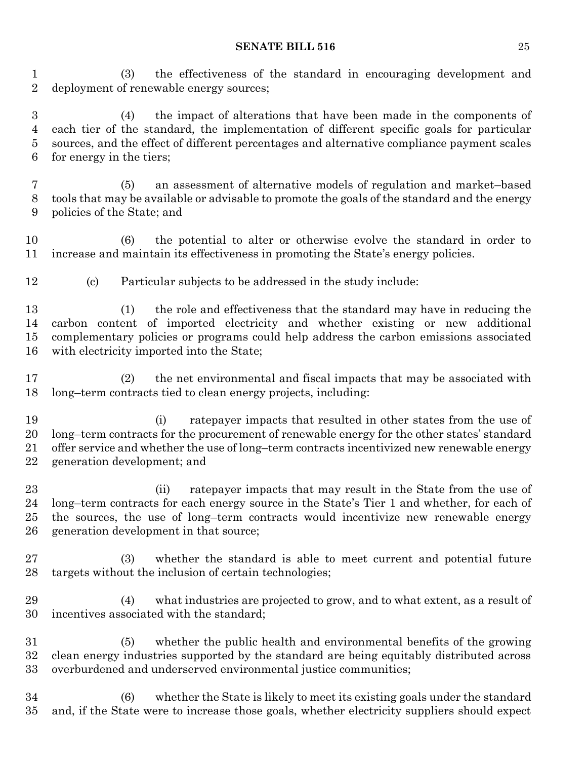(3) the effectiveness of the standard in encouraging development and deployment of renewable energy sources;

 (4) the impact of alterations that have been made in the components of each tier of the standard, the implementation of different specific goals for particular sources, and the effect of different percentages and alternative compliance payment scales for energy in the tiers;

 (5) an assessment of alternative models of regulation and market–based tools that may be available or advisable to promote the goals of the standard and the energy policies of the State; and

 (6) the potential to alter or otherwise evolve the standard in order to increase and maintain its effectiveness in promoting the State's energy policies.

(c) Particular subjects to be addressed in the study include:

 (1) the role and effectiveness that the standard may have in reducing the carbon content of imported electricity and whether existing or new additional complementary policies or programs could help address the carbon emissions associated with electricity imported into the State;

 (2) the net environmental and fiscal impacts that may be associated with long–term contracts tied to clean energy projects, including:

 (i) ratepayer impacts that resulted in other states from the use of long–term contracts for the procurement of renewable energy for the other states' standard offer service and whether the use of long–term contracts incentivized new renewable energy generation development; and

 (ii) ratepayer impacts that may result in the State from the use of long–term contracts for each energy source in the State's Tier 1 and whether, for each of the sources, the use of long–term contracts would incentivize new renewable energy generation development in that source;

 (3) whether the standard is able to meet current and potential future targets without the inclusion of certain technologies;

 (4) what industries are projected to grow, and to what extent, as a result of incentives associated with the standard;

 (5) whether the public health and environmental benefits of the growing clean energy industries supported by the standard are being equitably distributed across overburdened and underserved environmental justice communities;

 (6) whether the State is likely to meet its existing goals under the standard and, if the State were to increase those goals, whether electricity suppliers should expect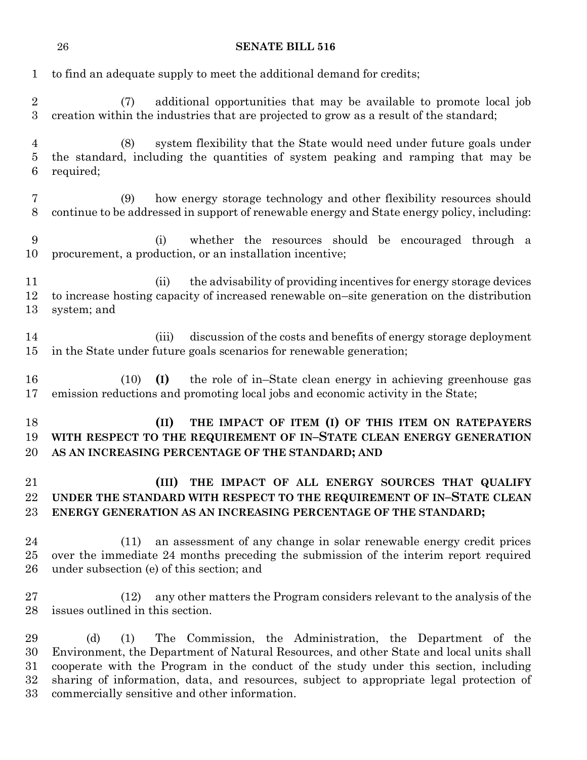| $\mathbf{1}$                   | to find an adequate supply to meet the additional demand for credits;                                                                                                                                                                                                                                                                                                                                     |
|--------------------------------|-----------------------------------------------------------------------------------------------------------------------------------------------------------------------------------------------------------------------------------------------------------------------------------------------------------------------------------------------------------------------------------------------------------|
| $\sqrt{2}$<br>$\boldsymbol{3}$ | additional opportunities that may be available to promote local job<br>(7)<br>creation within the industries that are projected to grow as a result of the standard;                                                                                                                                                                                                                                      |
| $\overline{4}$<br>5<br>6       | system flexibility that the State would need under future goals under<br>(8)<br>the standard, including the quantities of system peaking and ramping that may be<br>required;                                                                                                                                                                                                                             |
| 7<br>8                         | how energy storage technology and other flexibility resources should<br>(9)<br>continue to be addressed in support of renewable energy and State energy policy, including:                                                                                                                                                                                                                                |
| 9<br>10                        | whether the resources should be encouraged through a<br>(i)<br>procurement, a production, or an installation incentive;                                                                                                                                                                                                                                                                                   |
| 11<br>12<br>13                 | the advisability of providing incentives for energy storage devices<br>(ii)<br>to increase hosting capacity of increased renewable on–site generation on the distribution<br>system; and                                                                                                                                                                                                                  |
| 14<br>15                       | discussion of the costs and benefits of energy storage deployment<br>(iii)<br>in the State under future goals scenarios for renewable generation;                                                                                                                                                                                                                                                         |
| 16<br>17                       | (I)<br>the role of in–State clean energy in achieving greenhouse gas<br>(10)<br>emission reductions and promoting local jobs and economic activity in the State;                                                                                                                                                                                                                                          |
| 18<br>19<br>20                 | THE IMPACT OF ITEM (I) OF THIS ITEM ON RATEPAYERS<br>(II)<br>WITH RESPECT TO THE REQUIREMENT OF IN-STATE CLEAN ENERGY GENERATION<br>AS AN INCREASING PERCENTAGE OF THE STANDARD; AND                                                                                                                                                                                                                      |
| 21<br>22<br>23                 | THE IMPACT OF ALL ENERGY SOURCES THAT QUALIFY<br>(III)<br>UNDER THE STANDARD WITH RESPECT TO THE REQUIREMENT OF IN-STATE CLEAN<br>ENERGY GENERATION AS AN INCREASING PERCENTAGE OF THE STANDARD;                                                                                                                                                                                                          |
| 24<br>25<br>26                 | an assessment of any change in solar renewable energy credit prices<br>(11)<br>over the immediate 24 months preceding the submission of the interim report required<br>under subsection (e) of this section; and                                                                                                                                                                                          |
| 27<br>28                       | any other matters the Program considers relevant to the analysis of the<br>(12)<br>issues outlined in this section.                                                                                                                                                                                                                                                                                       |
| 29<br>30<br>31<br>32<br>33     | (d)<br>(1)<br>The<br>Commission, the Administration, the Department of the<br>Environment, the Department of Natural Resources, and other State and local units shall<br>cooperate with the Program in the conduct of the study under this section, including<br>sharing of information, data, and resources, subject to appropriate legal protection of<br>commercially sensitive and other information. |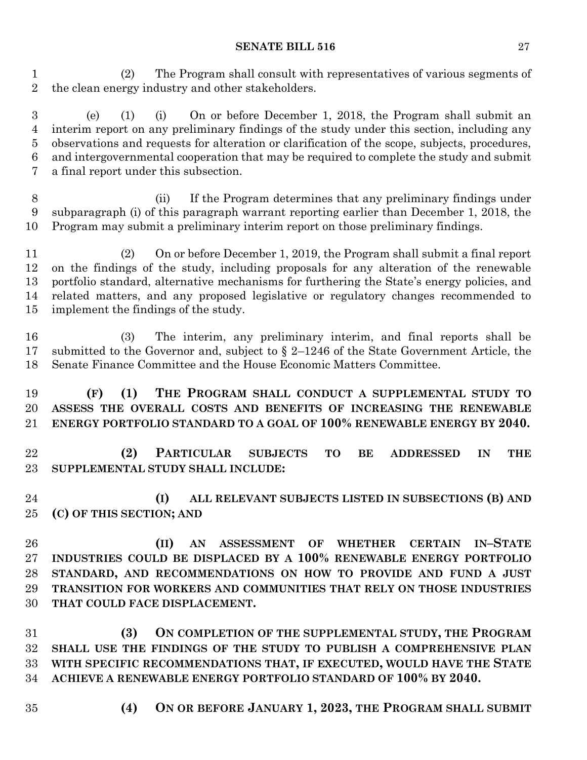(2) The Program shall consult with representatives of various segments of the clean energy industry and other stakeholders.

 (e) (1) (i) On or before December 1, 2018, the Program shall submit an interim report on any preliminary findings of the study under this section, including any observations and requests for alteration or clarification of the scope, subjects, procedures, and intergovernmental cooperation that may be required to complete the study and submit a final report under this subsection.

 (ii) If the Program determines that any preliminary findings under subparagraph (i) of this paragraph warrant reporting earlier than December 1, 2018, the Program may submit a preliminary interim report on those preliminary findings.

 (2) On or before December 1, 2019, the Program shall submit a final report on the findings of the study, including proposals for any alteration of the renewable portfolio standard, alternative mechanisms for furthering the State's energy policies, and related matters, and any proposed legislative or regulatory changes recommended to implement the findings of the study.

 (3) The interim, any preliminary interim, and final reports shall be submitted to the Governor and, subject to § 2–1246 of the State Government Article, the Senate Finance Committee and the House Economic Matters Committee.

 **(F) (1) THE PROGRAM SHALL CONDUCT A SUPPLEMENTAL STUDY TO ASSESS THE OVERALL COSTS AND BENEFITS OF INCREASING THE RENEWABLE ENERGY PORTFOLIO STANDARD TO A GOAL OF 100% RENEWABLE ENERGY BY 2040.**

 **(2) PARTICULAR SUBJECTS TO BE ADDRESSED IN THE SUPPLEMENTAL STUDY SHALL INCLUDE:**

 **(I) ALL RELEVANT SUBJECTS LISTED IN SUBSECTIONS (B) AND (C) OF THIS SECTION; AND**

 **(II) AN ASSESSMENT OF WHETHER CERTAIN IN–STATE INDUSTRIES COULD BE DISPLACED BY A 100% RENEWABLE ENERGY PORTFOLIO STANDARD, AND RECOMMENDATIONS ON HOW TO PROVIDE AND FUND A JUST TRANSITION FOR WORKERS AND COMMUNITIES THAT RELY ON THOSE INDUSTRIES THAT COULD FACE DISPLACEMENT.**

 **(3) ON COMPLETION OF THE SUPPLEMENTAL STUDY, THE PROGRAM SHALL USE THE FINDINGS OF THE STUDY TO PUBLISH A COMPREHENSIVE PLAN WITH SPECIFIC RECOMMENDATIONS THAT, IF EXECUTED, WOULD HAVE THE STATE ACHIEVE A RENEWABLE ENERGY PORTFOLIO STANDARD OF 100% BY 2040.**

- 
- **(4) ON OR BEFORE JANUARY 1, 2023, THE PROGRAM SHALL SUBMIT**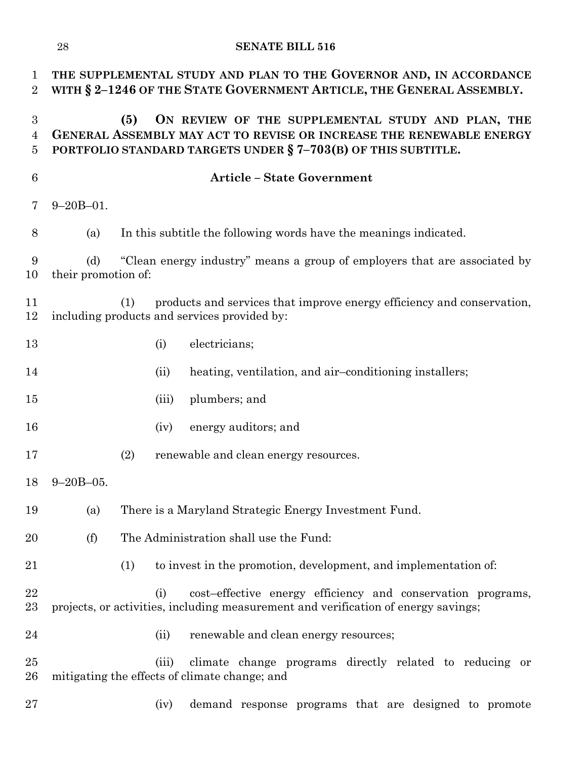| $\mathbf 1$<br>$\overline{2}$ | THE SUPPLEMENTAL STUDY AND PLAN TO THE GOVERNOR AND, IN ACCORDANCE<br>WITH § 2-1246 OF THE STATE GOVERNMENT ARTICLE, THE GENERAL ASSEMBLY.                                                       |                                                                           |       |                                                                                                                                                   |  |  |  |
|-------------------------------|--------------------------------------------------------------------------------------------------------------------------------------------------------------------------------------------------|---------------------------------------------------------------------------|-------|---------------------------------------------------------------------------------------------------------------------------------------------------|--|--|--|
| 3<br>$\overline{4}$<br>5      | ON REVIEW OF THE SUPPLEMENTAL STUDY AND PLAN, THE<br>(5)<br>GENERAL ASSEMBLY MAY ACT TO REVISE OR INCREASE THE RENEWABLE ENERGY<br>PORTFOLIO STANDARD TARGETS UNDER § 7-703(B) OF THIS SUBTITLE. |                                                                           |       |                                                                                                                                                   |  |  |  |
| $6\phantom{.}6$               |                                                                                                                                                                                                  |                                                                           |       | <b>Article - State Government</b>                                                                                                                 |  |  |  |
| 7                             | $9 - 20B - 01$ .                                                                                                                                                                                 |                                                                           |       |                                                                                                                                                   |  |  |  |
| 8                             | (a)                                                                                                                                                                                              |                                                                           |       | In this subtitle the following words have the meanings indicated.                                                                                 |  |  |  |
| 9<br>10                       | (d)<br>their promotion of:                                                                                                                                                                       | "Clean energy industry" means a group of employers that are associated by |       |                                                                                                                                                   |  |  |  |
| 11<br>12                      |                                                                                                                                                                                                  | (1)                                                                       |       | products and services that improve energy efficiency and conservation,<br>including products and services provided by:                            |  |  |  |
| 13                            |                                                                                                                                                                                                  |                                                                           | (i)   | electricians;                                                                                                                                     |  |  |  |
| 14                            |                                                                                                                                                                                                  |                                                                           | (ii)  | heating, ventilation, and air-conditioning installers;                                                                                            |  |  |  |
| 15                            |                                                                                                                                                                                                  |                                                                           | (iii) | plumbers; and                                                                                                                                     |  |  |  |
| 16                            |                                                                                                                                                                                                  |                                                                           | (iv)  | energy auditors; and                                                                                                                              |  |  |  |
| 17                            |                                                                                                                                                                                                  | (2)                                                                       |       | renewable and clean energy resources.                                                                                                             |  |  |  |
| 18                            | $9 - 20B - 05.$                                                                                                                                                                                  |                                                                           |       |                                                                                                                                                   |  |  |  |
| 19                            | (a)                                                                                                                                                                                              |                                                                           |       | There is a Maryland Strategic Energy Investment Fund.                                                                                             |  |  |  |
| 20                            | (f)                                                                                                                                                                                              |                                                                           |       | The Administration shall use the Fund:                                                                                                            |  |  |  |
| 21                            |                                                                                                                                                                                                  | (1)                                                                       |       | to invest in the promotion, development, and implementation of:                                                                                   |  |  |  |
| 22<br>23                      |                                                                                                                                                                                                  |                                                                           | (i)   | cost-effective energy efficiency and conservation programs,<br>projects, or activities, including measurement and verification of energy savings; |  |  |  |
| 24                            |                                                                                                                                                                                                  |                                                                           | (ii)  | renewable and clean energy resources;                                                                                                             |  |  |  |
| 25<br>26                      |                                                                                                                                                                                                  |                                                                           | (iii) | climate change programs directly related to reducing or<br>mitigating the effects of climate change; and                                          |  |  |  |
| 27                            |                                                                                                                                                                                                  |                                                                           | (iv)  | demand response programs that are designed to promote                                                                                             |  |  |  |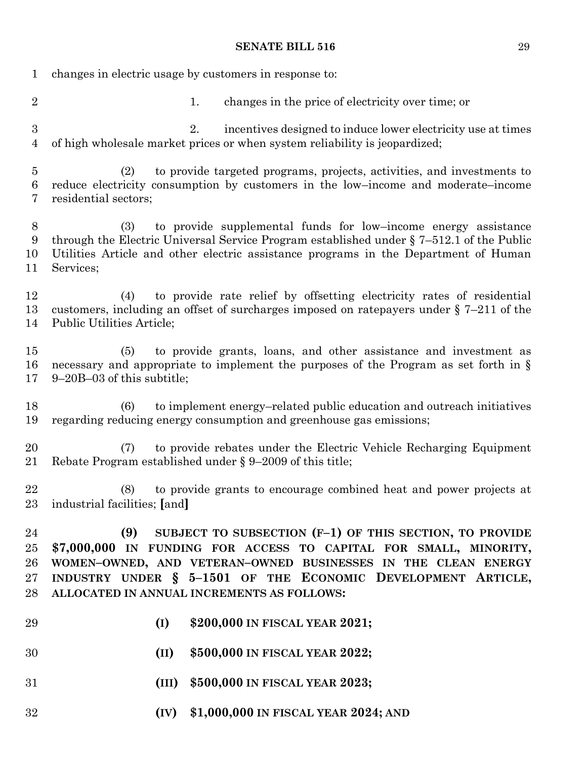changes in electric usage by customers in response to: 2 1. changes in the price of electricity over time; or 2. incentives designed to induce lower electricity use at times of high wholesale market prices or when system reliability is jeopardized; (2) to provide targeted programs, projects, activities, and investments to reduce electricity consumption by customers in the low–income and moderate–income residential sectors; (3) to provide supplemental funds for low–income energy assistance through the Electric Universal Service Program established under § 7–512.1 of the Public Utilities Article and other electric assistance programs in the Department of Human Services; (4) to provide rate relief by offsetting electricity rates of residential customers, including an offset of surcharges imposed on ratepayers under § 7–211 of the Public Utilities Article; (5) to provide grants, loans, and other assistance and investment as necessary and appropriate to implement the purposes of the Program as set forth in § 9–20B–03 of this subtitle; (6) to implement energy–related public education and outreach initiatives regarding reducing energy consumption and greenhouse gas emissions; (7) to provide rebates under the Electric Vehicle Recharging Equipment Rebate Program established under § 9–2009 of this title; (8) to provide grants to encourage combined heat and power projects at industrial facilities; **[**and**] (9) SUBJECT TO SUBSECTION (F–1) OF THIS SECTION, TO PROVIDE \$7,000,000 IN FUNDING FOR ACCESS TO CAPITAL FOR SMALL, MINORITY, WOMEN–OWNED, AND VETERAN–OWNED BUSINESSES IN THE CLEAN ENERGY INDUSTRY UNDER § 5–1501 OF THE ECONOMIC DEVELOPMENT ARTICLE, ALLOCATED IN ANNUAL INCREMENTS AS FOLLOWS: (I) \$200,000 IN FISCAL YEAR 2021; (II) \$500,000 IN FISCAL YEAR 2022; (III) \$500,000 IN FISCAL YEAR 2023; (IV) \$1,000,000 IN FISCAL YEAR 2024; AND**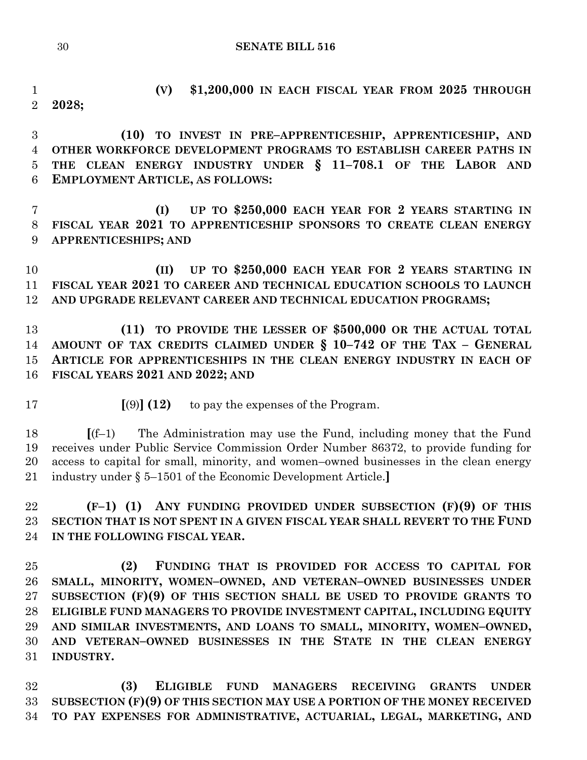```
30 SENATE BILL 516
```
 **(V) \$1,200,000 IN EACH FISCAL YEAR FROM 2025 THROUGH 2028;**

 **(10) TO INVEST IN PRE–APPRENTICESHIP, APPRENTICESHIP, AND OTHER WORKFORCE DEVELOPMENT PROGRAMS TO ESTABLISH CAREER PATHS IN THE CLEAN ENERGY INDUSTRY UNDER § 11–708.1 OF THE LABOR AND EMPLOYMENT ARTICLE, AS FOLLOWS:**

 **(I) UP TO \$250,000 EACH YEAR FOR 2 YEARS STARTING IN FISCAL YEAR 2021 TO APPRENTICESHIP SPONSORS TO CREATE CLEAN ENERGY APPRENTICESHIPS; AND**

 **(II) UP TO \$250,000 EACH YEAR FOR 2 YEARS STARTING IN FISCAL YEAR 2021 TO CAREER AND TECHNICAL EDUCATION SCHOOLS TO LAUNCH AND UPGRADE RELEVANT CAREER AND TECHNICAL EDUCATION PROGRAMS;**

 **(11) TO PROVIDE THE LESSER OF \$500,000 OR THE ACTUAL TOTAL AMOUNT OF TAX CREDITS CLAIMED UNDER § 10–742 OF THE TAX – GENERAL ARTICLE FOR APPRENTICESHIPS IN THE CLEAN ENERGY INDUSTRY IN EACH OF FISCAL YEARS 2021 AND 2022; AND**

**[**(9)**] (12)** to pay the expenses of the Program.

 **[**(f–1) The Administration may use the Fund, including money that the Fund receives under Public Service Commission Order Number 86372, to provide funding for access to capital for small, minority, and women–owned businesses in the clean energy industry under § 5–1501 of the Economic Development Article.**]**

 **(F–1) (1) ANY FUNDING PROVIDED UNDER SUBSECTION (F)(9) OF THIS SECTION THAT IS NOT SPENT IN A GIVEN FISCAL YEAR SHALL REVERT TO THE FUND IN THE FOLLOWING FISCAL YEAR.**

 **(2) FUNDING THAT IS PROVIDED FOR ACCESS TO CAPITAL FOR SMALL, MINORITY, WOMEN–OWNED, AND VETERAN–OWNED BUSINESSES UNDER SUBSECTION (F)(9) OF THIS SECTION SHALL BE USED TO PROVIDE GRANTS TO ELIGIBLE FUND MANAGERS TO PROVIDE INVESTMENT CAPITAL, INCLUDING EQUITY AND SIMILAR INVESTMENTS, AND LOANS TO SMALL, MINORITY, WOMEN–OWNED, AND VETERAN–OWNED BUSINESSES IN THE STATE IN THE CLEAN ENERGY INDUSTRY.**

 **(3) ELIGIBLE FUND MANAGERS RECEIVING GRANTS UNDER SUBSECTION (F)(9) OF THIS SECTION MAY USE A PORTION OF THE MONEY RECEIVED TO PAY EXPENSES FOR ADMINISTRATIVE, ACTUARIAL, LEGAL, MARKETING, AND**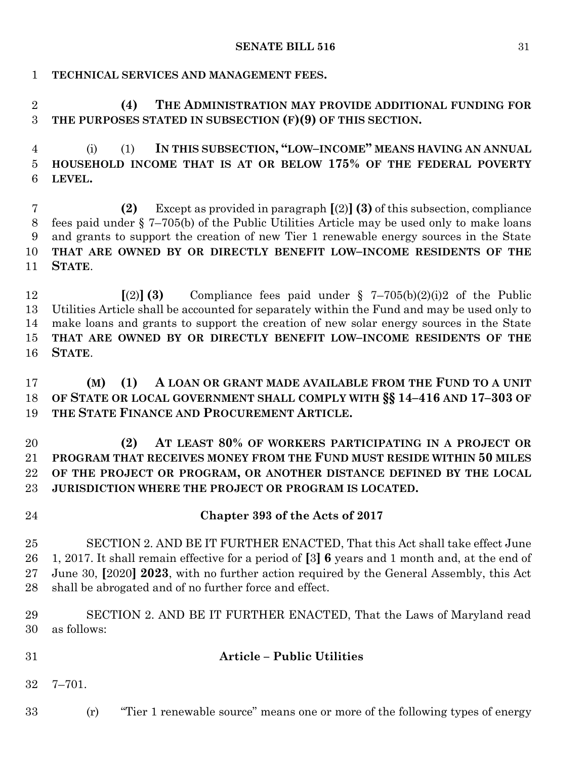# **TECHNICAL SERVICES AND MANAGEMENT FEES.**

 **(4) THE ADMINISTRATION MAY PROVIDE ADDITIONAL FUNDING FOR THE PURPOSES STATED IN SUBSECTION (F)(9) OF THIS SECTION.**

 (i) (1) **IN THIS SUBSECTION, "LOW–INCOME" MEANS HAVING AN ANNUAL HOUSEHOLD INCOME THAT IS AT OR BELOW 175% OF THE FEDERAL POVERTY LEVEL.**

 **(2)** Except as provided in paragraph **[**(2)**](3)** of this subsection, compliance fees paid under § 7–705(b) of the Public Utilities Article may be used only to make loans and grants to support the creation of new Tier 1 renewable energy sources in the State **THAT ARE OWNED BY OR DIRECTLY BENEFIT LOW–INCOME RESIDENTS OF THE STATE**.

 **[**(2)**] (3)** Compliance fees paid under § 7–705(b)(2)(i)2 of the Public Utilities Article shall be accounted for separately within the Fund and may be used only to make loans and grants to support the creation of new solar energy sources in the State **THAT ARE OWNED BY OR DIRECTLY BENEFIT LOW–INCOME RESIDENTS OF THE STATE**.

 **(M) (1) A LOAN OR GRANT MADE AVAILABLE FROM THE FUND TO A UNIT OF STATE OR LOCAL GOVERNMENT SHALL COMPLY WITH §§ 14–416 AND 17–303 OF THE STATE FINANCE AND PROCUREMENT ARTICLE.**

 **(2) AT LEAST 80% OF WORKERS PARTICIPATING IN A PROJECT OR PROGRAM THAT RECEIVES MONEY FROM THE FUND MUST RESIDE WITHIN 50 MILES OF THE PROJECT OR PROGRAM, OR ANOTHER DISTANCE DEFINED BY THE LOCAL JURISDICTION WHERE THE PROJECT OR PROGRAM IS LOCATED.**

 **Chapter 393 of the Acts of 2017** SECTION 2. AND BE IT FURTHER ENACTED, That this Act shall take effect June 1, 2017. It shall remain effective for a period of **[**3**] 6** years and 1 month and, at the end of June 30, **[**2020**] 2023**, with no further action required by the General Assembly, this Act shall be abrogated and of no further force and effect.

 SECTION 2. AND BE IT FURTHER ENACTED, That the Laws of Maryland read as follows:

# **Article – Public Utilities**

7–701.

(r) "Tier 1 renewable source" means one or more of the following types of energy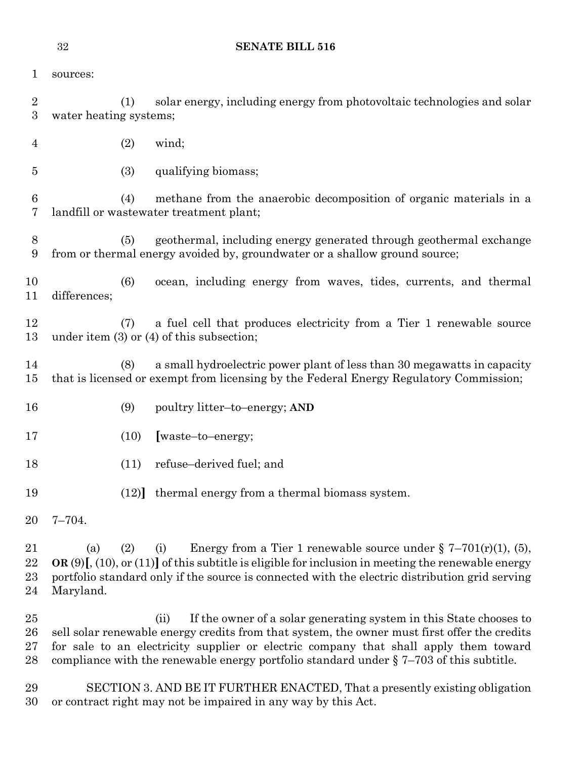| 1                                    | sources:         |                                                                                                          |                                                                                                                                                                                                                                                                                                                                                                  |  |  |  |  |
|--------------------------------------|------------------|----------------------------------------------------------------------------------------------------------|------------------------------------------------------------------------------------------------------------------------------------------------------------------------------------------------------------------------------------------------------------------------------------------------------------------------------------------------------------------|--|--|--|--|
| $\boldsymbol{2}$<br>$\boldsymbol{3}$ |                  | solar energy, including energy from photovoltaic technologies and solar<br>(1)<br>water heating systems; |                                                                                                                                                                                                                                                                                                                                                                  |  |  |  |  |
| 4                                    |                  | (2)                                                                                                      | wind;                                                                                                                                                                                                                                                                                                                                                            |  |  |  |  |
| $\overline{5}$                       |                  | (3)                                                                                                      | qualifying biomass;                                                                                                                                                                                                                                                                                                                                              |  |  |  |  |
| 6<br>7                               |                  | (4)                                                                                                      | methane from the anaerobic decomposition of organic materials in a<br>landfill or wastewater treatment plant;                                                                                                                                                                                                                                                    |  |  |  |  |
| 8<br>9                               |                  | (5)                                                                                                      | geothermal, including energy generated through geothermal exchange<br>from or thermal energy avoided by, groundwater or a shallow ground source;                                                                                                                                                                                                                 |  |  |  |  |
| 10<br>11                             | differences;     | (6)                                                                                                      | ocean, including energy from waves, tides, currents, and thermal                                                                                                                                                                                                                                                                                                 |  |  |  |  |
| 12<br>13                             |                  | (7)                                                                                                      | a fuel cell that produces electricity from a Tier 1 renewable source<br>under item $(3)$ or $(4)$ of this subsection;                                                                                                                                                                                                                                            |  |  |  |  |
| 14<br>15                             |                  | (8)                                                                                                      | a small hydroelectric power plant of less than 30 megawatts in capacity<br>that is licensed or exempt from licensing by the Federal Energy Regulatory Commission;                                                                                                                                                                                                |  |  |  |  |
| 16                                   |                  | (9)                                                                                                      | poultry litter-to-energy; AND                                                                                                                                                                                                                                                                                                                                    |  |  |  |  |
| 17                                   |                  | (10)                                                                                                     | [waste-to-energy;                                                                                                                                                                                                                                                                                                                                                |  |  |  |  |
| 18                                   |                  | (11)                                                                                                     | refuse-derived fuel; and                                                                                                                                                                                                                                                                                                                                         |  |  |  |  |
| 19                                   |                  |                                                                                                          | (12) thermal energy from a thermal biomass system.                                                                                                                                                                                                                                                                                                               |  |  |  |  |
| 20                                   | $7 - 704.$       |                                                                                                          |                                                                                                                                                                                                                                                                                                                                                                  |  |  |  |  |
| 21<br>22<br>$^{23}$<br>24            | (a)<br>Maryland. | (2)                                                                                                      | Energy from a Tier 1 renewable source under $\S 7-701(r)(1)$ , (5),<br>(i)<br>OR $(9)$ [, $(10)$ , or $(11)$ ] of this subtitle is eligible for inclusion in meeting the renewable energy<br>portfolio standard only if the source is connected with the electric distribution grid serving                                                                      |  |  |  |  |
| 25<br>$26\,$<br>$27\,$<br>28         |                  |                                                                                                          | If the owner of a solar generating system in this State chooses to<br>(ii)<br>sell solar renewable energy credits from that system, the owner must first offer the credits<br>for sale to an electricity supplier or electric company that shall apply them toward<br>compliance with the renewable energy portfolio standard under $\S$ 7-703 of this subtitle. |  |  |  |  |

 SECTION 3. AND BE IT FURTHER ENACTED, That a presently existing obligation or contract right may not be impaired in any way by this Act.